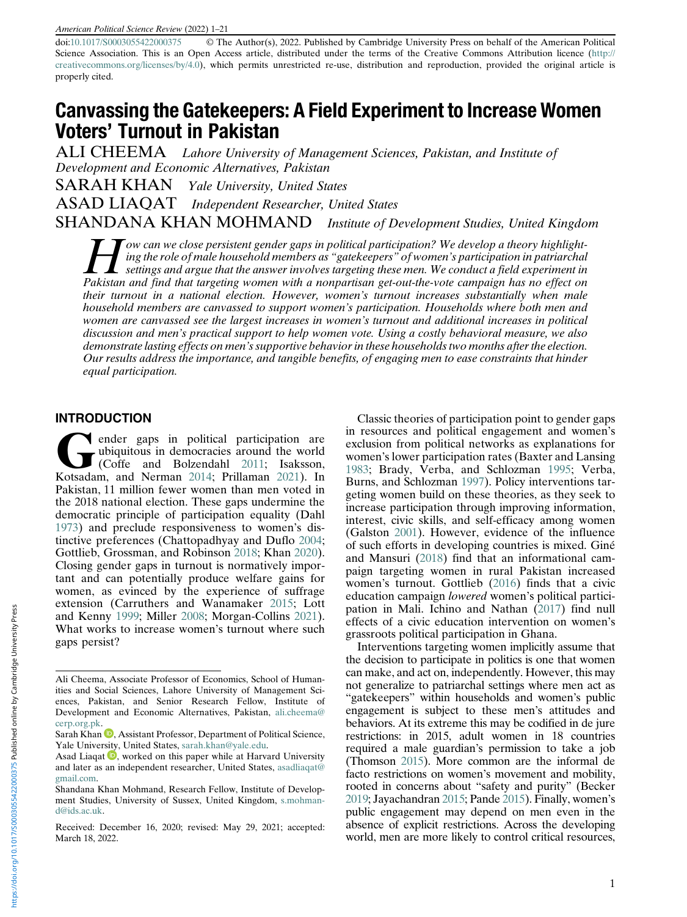doi:[10.1017/S0003055422000375](https://doi.org/10.1017/S0003055422000375) © The Author(s), 2022. Published by Cambridge University Press on behalf of the American Political Science Association. This is an Open Access article, distributed under the terms of the Creative Commons Attribution licence ([http://](http://creativecommons.org/licenses/by/4.0) [creativecommons.org/licenses/by/4.0\)](http://creativecommons.org/licenses/by/4.0), which permits unrestricted re-use, distribution and reproduction, provided the original article is properly cited.

# Canvassing the Gatekeepers: A Field Experiment to Increase Women Voters' Turnout in Pakistan

ALI CHEEMA Lahore University of Management Sciences, Pakistan, and Institute of Development and Economic Alternatives, Pakistan

SARAH KHAN Yale University, United States ASAD LIAQAT Independent Researcher, United States SHANDANA KHAN MOHMAND Institute of Development Studies, United Kingdom

I ow can we close persistent gender gaps in political participation? We develop a theory highlight-<br>ing the role of male household members as "gatekeepers" of women's participation in patriarchal<br>settings and argue that th ing the role of male household members as "gatekeepers" of women's participation in patriarchal Pakistan and find that targeting women with a nonpartisan get-out-the-vote campaign has no effect on their turnout in a national election. However, women's turnout increases substantially when male household members are canvassed to support women's participation. Households where both men and women are canvassed see the largest increases in women's turnout and additional increases in political discussion and men's practical support to help women vote. Using a costly behavioral measure, we also demonstrate lasting effects on men's supportive behavior in these households two months after the election. Our results address the importance, and tangible benefits, of engaging men to ease constraints that hinder equal participation.

#### INTRODUCTION

ender gaps in political participation are<br>
(Coffe and Bolzendahl [2011;](#page-18-0) Isaksson,<br>
Kotsadam and Nerman 2014; Prillaman 2021), In ubiquitous in democracies around the world Kotsadam, and Nerman [2014](#page-19-0); Prillaman [2021](#page-19-1)). In Pakistan, 11 million fewer women than men voted in the 2018 national election. These gaps undermine the democratic principle of participation equality (Dahl [1973\)](#page-18-1) and preclude responsiveness to women's distinctive preferences (Chattopadhyay and Duflo [2004](#page-18-2); Gottlieb, Grossman, and Robinson [2018;](#page-19-2) Khan [2020\)](#page-19-3). Closing gender gaps in turnout is normatively important and can potentially produce welfare gains for women, as evinced by the experience of suffrage extension (Carruthers and Wanamaker [2015;](#page-18-3) Lott and Kenny [1999](#page-19-4); Miller [2008;](#page-19-5) Morgan-Collins [2021\)](#page-19-6). What works to increase women's turnout where such gaps persist?

Classic theories of participation point to gender gaps in resources and political engagement and women's exclusion from political networks as explanations for women's lower participation rates (Baxter and Lansing [1983;](#page-18-4) Brady, Verba, and Schlozman [1995;](#page-18-5) Verba, Burns, and Schlozman [1997\)](#page-20-0). Policy interventions targeting women build on these theories, as they seek to increase participation through improving information, interest, civic skills, and self-efficacy among women (Galston [2001](#page-18-6)). However, evidence of the influence of such efforts in developing countries is mixed. Giné and Mansuri [\(2018\)](#page-19-7) find that an informational campaign targeting women in rural Pakistan increased women's turnout. Gottlieb [\(2016](#page-19-2)) finds that a civic education campaign lowered women's political participation in Mali. Ichino and Nathan [\(2017](#page-19-8)) find null effects of a civic education intervention on women's grassroots political participation in Ghana.

Interventions targeting women implicitly assume that the decision to participate in politics is one that women can make, and act on, independently. However, this may not generalize to patriarchal settings where men act as "gatekeepers" within households and women's public engagement is subject to these men's attitudes and behaviors. At its extreme this may be codified in de jure restrictions: in 2015, adult women in 18 countries required a male guardian's permission to take a job (Thomson [2015](#page-20-1)). More common are the informal de facto restrictions on women's movement and mobility, rooted in concerns about "safety and purity" (Becker [2019](#page-18-7); Jayachandran [2015;](#page-19-9) Pande [2015\)](#page-19-10). Finally, women's public engagement may depend on men even in the absence of explicit restrictions. Across the developing world, men are more likely to control critical resources,

Ali Cheema, Associate Professor of Economics, School of Humanities and Social Sciences, Lahore University of Management Sciences, Pakistan, and Senior Research Fellow, Institute of Development and Economic Alternatives, Pakistan, [ali.cheema@](mailto:ali.cheema@cerp.org.pk) [cerp.org.pk](mailto:ali.cheema@cerp.org.pk).

Sarah Khan  $\blacksquare$ , Assistant Professor, Department of Political Science, Yale Univer[sity](https://orcid.org/0000-0002-1729-7440), United States, [sarah.khan@yale.edu](mailto:sarah.khan@yale.edu).

Asad Liaqat  $\mathbf 0$ , worked on this paper while at Harvard University and later as an independent researcher, United States, [asadliaqat@](mailto:asadliaqat@gmail.com) [gmail.com](mailto:asadliaqat@gmail.com).

Shandana Khan Mohmand, Research Fellow, Institute of Development Studies, University of Sussex, United Kingdom, [s.mohman](mailto:s.mohmand@ids.ac.uk)[d@ids.ac.uk](mailto:s.mohmand@ids.ac.uk).

Received: December 16, 2020; revised: May 29, 2021; accepted: March 18, 2022.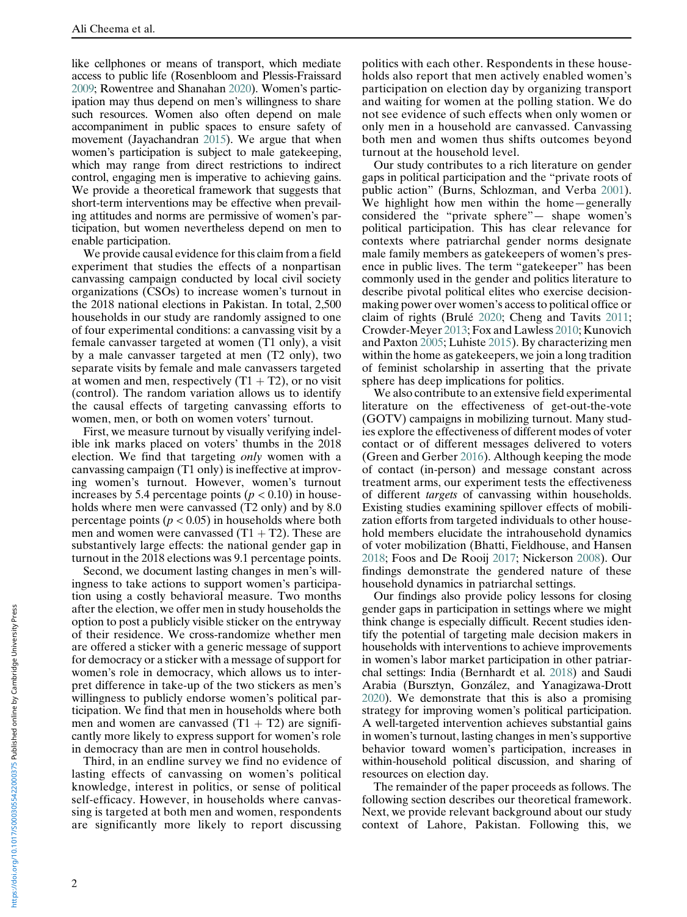like cellphones or means of transport, which mediate access to public life (Rosenbloom and Plessis-Fraissard [2009](#page-19-11); Rowentree and Shanahan [2020](#page-19-12)). Women's participation may thus depend on men's willingness to share such resources. Women also often depend on male accompaniment in public spaces to ensure safety of movement (Jayachandran [2015](#page-19-9)). We argue that when women's participation is subject to male gatekeeping, which may range from direct restrictions to indirect control, engaging men is imperative to achieving gains. We provide a theoretical framework that suggests that short-term interventions may be effective when prevailing attitudes and norms are permissive of women's participation, but women nevertheless depend on men to enable participation.

We provide causal evidence for this claim from a field experiment that studies the effects of a nonpartisan canvassing campaign conducted by local civil society organizations (CSOs) to increase women's turnout in the 2018 national elections in Pakistan. In total, 2,500 households in our study are randomly assigned to one of four experimental conditions: a canvassing visit by a female canvasser targeted at women (T1 only), a visit by a male canvasser targeted at men (T2 only), two separate visits by female and male canvassers targeted at women and men, respectively  $(T1 + T2)$ , or no visit (control). The random variation allows us to identify the causal effects of targeting canvassing efforts to women, men, or both on women voters' turnout.

First, we measure turnout by visually verifying indelible ink marks placed on voters' thumbs in the 2018 election. We find that targeting only women with a canvassing campaign (T1 only) is ineffective at improving women's turnout. However, women's turnout increases by 5.4 percentage points ( $p < 0.10$ ) in households where men were canvassed (T2 only) and by 8.0 percentage points ( $p < 0.05$ ) in households where both men and women were canvassed  $(T1 + T2)$ . These are substantively large effects: the national gender gap in turnout in the 2018 elections was 9.1 percentage points.

Second, we document lasting changes in men's willingness to take actions to support women's participation using a costly behavioral measure. Two months after the election, we offer men in study households the option to post a publicly visible sticker on the entryway of their residence. We cross-randomize whether men are offered a sticker with a generic message of support for democracy or a sticker with a message of support for women's role in democracy, which allows us to interpret difference in take-up of the two stickers as men's willingness to publicly endorse women's political participation. We find that men in households where both men and women are canvassed  $(T1 + T2)$  are significantly more likely to express support for women's role in democracy than are men in control households.

Third, in an endline survey we find no evidence of lasting effects of canvassing on women's political knowledge, interest in politics, or sense of political self-efficacy. However, in households where canvassing is targeted at both men and women, respondents are significantly more likely to report discussing

politics with each other. Respondents in these households also report that men actively enabled women's participation on election day by organizing transport and waiting for women at the polling station. We do not see evidence of such effects when only women or only men in a household are canvassed. Canvassing both men and women thus shifts outcomes beyond turnout at the household level.

Our study contributes to a rich literature on gender gaps in political participation and the "private roots of public action" (Burns, Schlozman, and Verba [2001\)](#page-18-8). We highlight how men within the home—generally considered the "private sphere"— shape women's political participation. This has clear relevance for contexts where patriarchal gender norms designate male family members as gatekeepers of women's presence in public lives. The term "gatekeeper" has been commonly used in the gender and politics literature to describe pivotal political elites who exercise decisionmaking power over women's access to political office or claim of rights (Brulé [2020;](#page-18-9) Cheng and Tavits [2011;](#page-18-10) Crowder-Meyer [2013](#page-18-11); Fox and Lawless [2010](#page-18-8); Kunovich and Paxton [2005](#page-19-13); Luhiste [2015](#page-19-14)). By characterizing men within the home as gatekeepers, we join a long tradition of feminist scholarship in asserting that the private sphere has deep implications for politics.

We also contribute to an extensive field experimental literature on the effectiveness of get-out-the-vote (GOTV) campaigns in mobilizing turnout. Many studies explore the effectiveness of different modes of voter contact or of different messages delivered to voters (Green and Gerber [2016](#page-19-15)). Although keeping the mode of contact (in-person) and message constant across treatment arms, our experiment tests the effectiveness of different targets of canvassing within households. Existing studies examining spillover effects of mobilization efforts from targeted individuals to other household members elucidate the intrahousehold dynamics of voter mobilization (Bhatti, Fieldhouse, and Hansen [2018;](#page-18-12) Foos and De Rooij [2017](#page-18-13); Nickerson [2008](#page-19-16)). Our findings demonstrate the gendered nature of these household dynamics in patriarchal settings.

Our findings also provide policy lessons for closing gender gaps in participation in settings where we might think change is especially difficult. Recent studies identify the potential of targeting male decision makers in households with interventions to achieve improvements in women's labor market participation in other patriarchal settings: India (Bernhardt et al. [2018\)](#page-18-14) and Saudi Arabia (Bursztyn, González, and Yanagizawa-Drott [2020\)](#page-18-6). We demonstrate that this is also a promising strategy for improving women's political participation. A well-targeted intervention achieves substantial gains in women's turnout, lasting changes in men's supportive behavior toward women's participation, increases in within-household political discussion, and sharing of resources on election day.

The remainder of the paper proceeds as follows. The following section describes our theoretical framework. Next, we provide relevant background about our study context of Lahore, Pakistan. Following this, we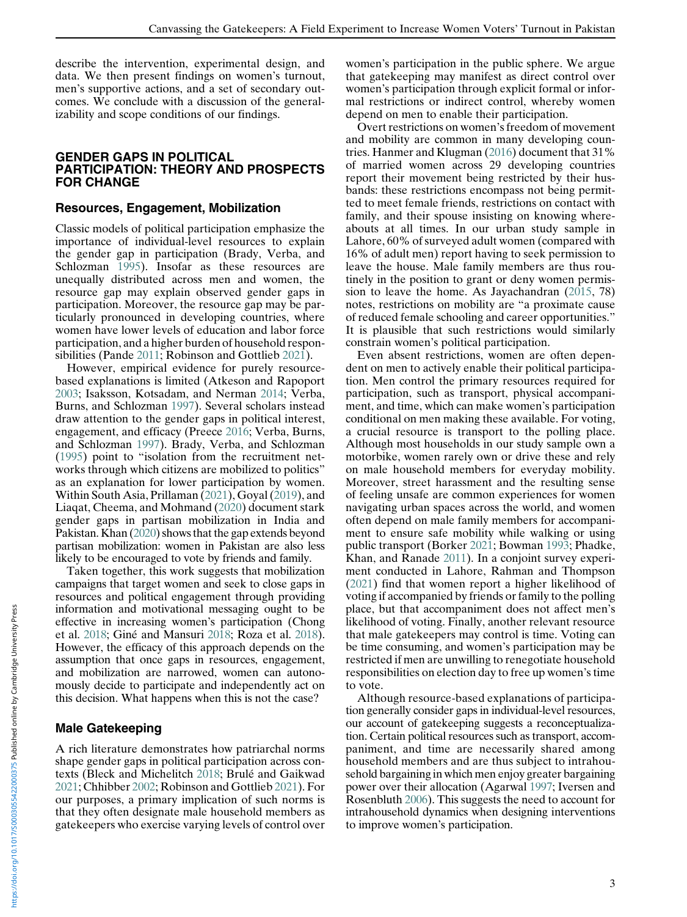describe the intervention, experimental design, and data. We then present findings on women's turnout, men's supportive actions, and a set of secondary outcomes. We conclude with a discussion of the generalizability and scope conditions of our findings.

#### GENDER GAPS IN POLITICAL PARTICIPATION: THEORY AND PROSPECTS FOR CHANGE

#### Resources, Engagement, Mobilization

Classic models of political participation emphasize the importance of individual-level resources to explain the gender gap in participation (Brady, Verba, and Schlozman [1995\)](#page-18-5). Insofar as these resources are unequally distributed across men and women, the resource gap may explain observed gender gaps in participation. Moreover, the resource gap may be particularly pronounced in developing countries, where women have lower levels of education and labor force participation, and a higher burden of household responsibilities (Pande [2011](#page-19-17); Robinson and Gottlieb [2021](#page-19-18)).

However, empirical evidence for purely resourcebased explanations is limited (Atkeson and Rapoport [2003;](#page-18-15) Isaksson, Kotsadam, and Nerman [2014](#page-19-0); Verba, Burns, and Schlozman [1997](#page-20-0)). Several scholars instead draw attention to the gender gaps in political interest, engagement, and efficacy (Preece [2016](#page-19-19); Verba, Burns, and Schlozman [1997](#page-20-0)). Brady, Verba, and Schlozman ([1995\)](#page-18-5) point to "isolation from the recruitment networks through which citizens are mobilized to politics" as an explanation for lower participation by women. Within South Asia, Prillaman [\(2021](#page-19-1)), Goyal [\(2019\)](#page-19-20), and Liaqat, Cheema, and Mohmand ([2020\)](#page-19-7) document stark gender gaps in partisan mobilization in India and Pakistan. Khan ([2020\)](#page-19-3) shows that the gap extends beyond partisan mobilization: women in Pakistan are also less likely to be encouraged to vote by friends and family.

Taken together, this work suggests that mobilization campaigns that target women and seek to close gaps in resources and political engagement through providing information and motivational messaging ought to be effective in increasing women's participation (Chong et al. [2018](#page-18-16); Giné and Mansuri [2018](#page-19-7); Roza et al. [2018\)](#page-18-16). However, the efficacy of this approach depends on the assumption that once gaps in resources, engagement, and mobilization are narrowed, women can autonomously decide to participate and independently act on this decision. What happens when this is not the case?

### Male Gatekeeping

A rich literature demonstrates how patriarchal norms shape gender gaps in political participation across contexts (Bleck and Michelitch [2018](#page-18-17); Brulé and Gaikwad [2021;](#page-18-18) Chhibber [2002](#page-18-19); Robinson and Gottlieb [2021](#page-19-18)). For our purposes, a primary implication of such norms is that they often designate male household members as gatekeepers who exercise varying levels of control over women's participation in the public sphere. We argue that gatekeeping may manifest as direct control over women's participation through explicit formal or informal restrictions or indirect control, whereby women depend on men to enable their participation.

Overt restrictions on women's freedom of movement and mobility are common in many developing countries. Hanmer and Klugman ([2016\)](#page-19-21) document that 31% of married women across 29 developing countries report their movement being restricted by their husbands: these restrictions encompass not being permitted to meet female friends, restrictions on contact with family, and their spouse insisting on knowing whereabouts at all times. In our urban study sample in Lahore, 60% of surveyed adult women (compared with 16% of adult men) report having to seek permission to leave the house. Male family members are thus routinely in the position to grant or deny women permission to leave the home. As Jayachandran ([2015,](#page-19-9) 78) notes, restrictions on mobility are "a proximate cause of reduced female schooling and career opportunities." It is plausible that such restrictions would similarly constrain women's political participation.

Even absent restrictions, women are often dependent on men to actively enable their political participation. Men control the primary resources required for participation, such as transport, physical accompaniment, and time, which can make women's participation conditional on men making these available. For voting, a crucial resource is transport to the polling place. Although most households in our study sample own a motorbike, women rarely own or drive these and rely on male household members for everyday mobility. Moreover, street harassment and the resulting sense of feeling unsafe are common experiences for women navigating urban spaces across the world, and women often depend on male family members for accompaniment to ensure safe mobility while walking or using public transport (Borker [2021](#page-18-20); Bowman [1993](#page-18-21); Phadke, Khan, and Ranade [2011](#page-19-22)). In a conjoint survey experiment conducted in Lahore, Rahman and Thompson ([2021\)](#page-19-23) find that women report a higher likelihood of voting if accompanied by friends or family to the polling place, but that accompaniment does not affect men's likelihood of voting. Finally, another relevant resource that male gatekeepers may control is time. Voting can be time consuming, and women's participation may be restricted if men are unwilling to renegotiate household responsibilities on election day to free up women's time to vote.

Although resource-based explanations of participation generally consider gaps in individual-level resources, our account of gatekeeping suggests a reconceptualization. Certain political resources such as transport, accompaniment, and time are necessarily shared among household members and are thus subject to intrahousehold bargaining in which men enjoy greater bargaining power over their allocation (Agarwal [1997](#page-18-22); Iversen and Rosenbluth [2006\)](#page-19-16). This suggests the need to account for intrahousehold dynamics when designing interventions to improve women's participation.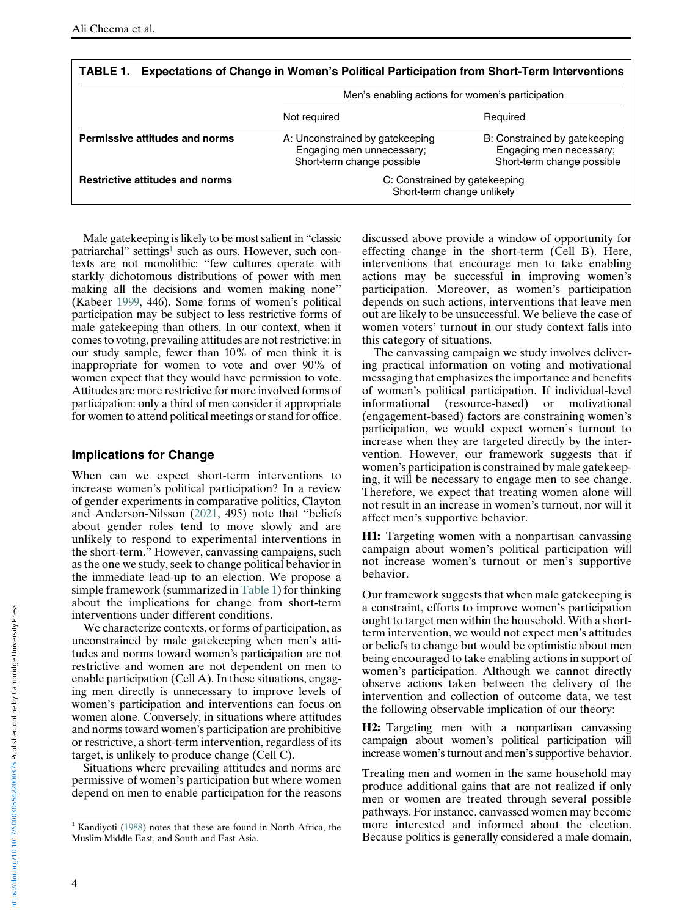<span id="page-3-1"></span>

| TABLE 1.<br>Expectations of Change in Women's Political Participation from Short-Term Interventions |                                                                                            |                                                                                        |  |
|-----------------------------------------------------------------------------------------------------|--------------------------------------------------------------------------------------------|----------------------------------------------------------------------------------------|--|
|                                                                                                     | Men's enabling actions for women's participation                                           |                                                                                        |  |
|                                                                                                     | Not required                                                                               | Required                                                                               |  |
| <b>Permissive attitudes and norms</b>                                                               | A: Unconstrained by gatekeeping<br>Engaging men unnecessary;<br>Short-term change possible | B: Constrained by gatekeeping<br>Engaging men necessary;<br>Short-term change possible |  |
| <b>Restrictive attitudes and norms</b>                                                              | C: Constrained by gatekeeping<br>Short-term change unlikely                                |                                                                                        |  |

TABLE 1. Expectations of Change in Women's Political Participation from Short-Term Interventions

Male gatekeeping is likely to be most salient in "classic patriarchal" settings<sup>1</sup> such as ours. However, such contexts are not monolithic: "few cultures operate with starkly dichotomous distributions of power with men making all the decisions and women making none" (Kabeer [1999](#page-19-24), 446). Some forms of women's political participation may be subject to less restrictive forms of male gatekeeping than others. In our context, when it comes to voting, prevailing attitudes are not restrictive: in our study sample, fewer than 10% of men think it is inappropriate for women to vote and over 90% of women expect that they would have permission to vote. Attitudes are more restrictive for more involved forms of participation: only a third of men consider it appropriate for women to attend political meetings or stand for office.

#### Implications for Change

When can we expect short-term interventions to increase women's political participation? In a review of gender experiments in comparative politics, Clayton and Anderson-Nilsson [\(2021](#page-18-23), 495) note that "beliefs about gender roles tend to move slowly and are unlikely to respond to experimental interventions in the short-term." However, canvassing campaigns, such as the one we study, seek to change political behavior in the immediate lead-up to an election. We propose a simple framework (summarized in [Table 1\)](#page-3-1) for thinking about the implications for change from short-term interventions under different conditions.

We characterize contexts, or forms of participation, as unconstrained by male gatekeeping when men's attitudes and norms toward women's participation are not restrictive and women are not dependent on men to enable participation (Cell A). In these situations, engaging men directly is unnecessary to improve levels of women's participation and interventions can focus on women alone. Conversely, in situations where attitudes and norms toward women's participation are prohibitive or restrictive, a short-term intervention, regardless of its target, is unlikely to produce change (Cell C).

Situations where prevailing attitudes and norms are permissive of women's participation but where women depend on men to enable participation for the reasons discussed above provide a window of opportunity for effecting change in the short-term (Cell B). Here, interventions that encourage men to take enabling actions may be successful in improving women's participation. Moreover, as women's participation depends on such actions, interventions that leave men out are likely to be unsuccessful. We believe the case of women voters' turnout in our study context falls into this category of situations.

The canvassing campaign we study involves delivering practical information on voting and motivational messaging that emphasizes the importance and benefits of women's political participation. If individual-level informational (resource-based) or motivational (engagement-based) factors are constraining women's participation, we would expect women's turnout to increase when they are targeted directly by the intervention. However, our framework suggests that if women's participation is constrained by male gatekeeping, it will be necessary to engage men to see change. Therefore, we expect that treating women alone will not result in an increase in women's turnout, nor will it affect men's supportive behavior.

H1: Targeting women with a nonpartisan canvassing campaign about women's political participation will not increase women's turnout or men's supportive behavior.

Our framework suggests that when male gatekeeping is a constraint, efforts to improve women's participation ought to target men within the household. With a shortterm intervention, we would not expect men's attitudes or beliefs to change but would be optimistic about men being encouraged to take enabling actions in support of women's participation. Although we cannot directly observe actions taken between the delivery of the intervention and collection of outcome data, we test the following observable implication of our theory:

H2: Targeting men with a nonpartisan canvassing campaign about women's political participation will increase women's turnout and men's supportive behavior.

Treating men and women in the same household may produce additional gains that are not realized if only men or women are treated through several possible pathways. For instance, canvassed women may become more interested and informed about the election. Because politics is generally considered a male domain,

<span id="page-3-0"></span> $1$  Kandiyoti [\(1988](#page-19-25)) notes that these are found in North Africa, the Muslim Middle East, and South and East Asia.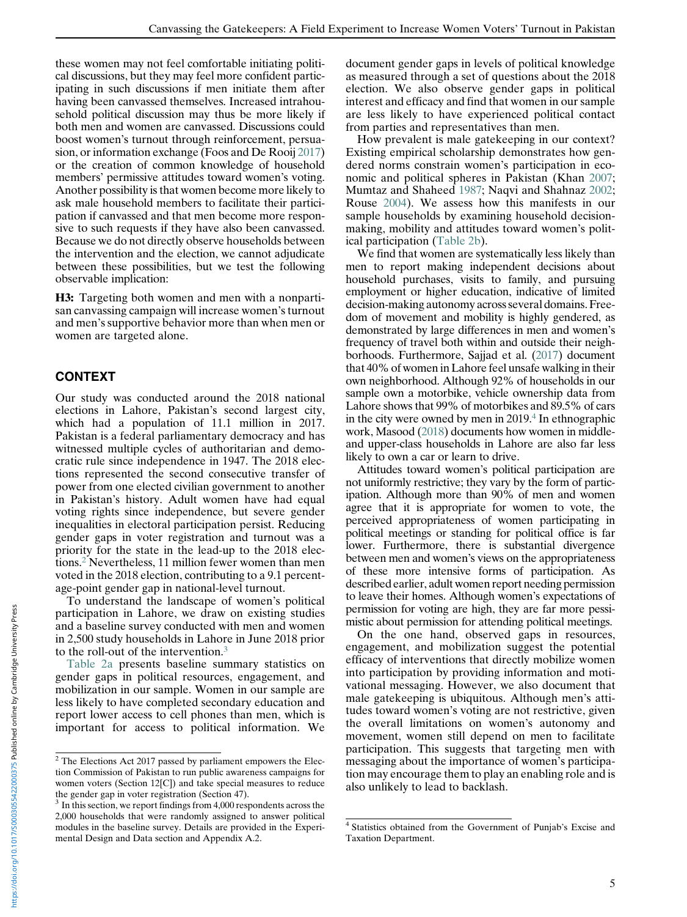these women may not feel comfortable initiating political discussions, but they may feel more confident participating in such discussions if men initiate them after having been canvassed themselves. Increased intrahousehold political discussion may thus be more likely if both men and women are canvassed. Discussions could boost women's turnout through reinforcement, persuasion, or information exchange (Foos and De Rooij [2017](#page-18-13)) or the creation of common knowledge of household members' permissive attitudes toward women's voting. Another possibility is that women become more likely to ask male household members to facilitate their participation if canvassed and that men become more responsive to such requests if they have also been canvassed. Because we do not directly observe households between the intervention and the election, we cannot adjudicate between these possibilities, but we test the following observable implication:

H3: Targeting both women and men with a nonpartisan canvassing campaign will increase women's turnout and men's supportive behavior more than when men or women are targeted alone.

# CONTEXT

Our study was conducted around the 2018 national elections in Lahore, Pakistan's second largest city, which had a population of 11.1 million in 2017. Pakistan is a federal parliamentary democracy and has witnessed multiple cycles of authoritarian and democratic rule since independence in 1947. The 2018 elections represented the second consecutive transfer of power from one elected civilian government to another in Pakistan's history. Adult women have had equal voting rights since independence, but severe gender inequalities in electoral participation persist. Reducing gender gaps in voter registration and turnout was a priority for the state in the lead-up to the 2018 elections.[2](#page-4-0) Nevertheless, 11 million fewer women than men voted in the 2018 election, contributing to a 9.1 percentage-point gender gap in national-level turnout.

To understand the landscape of women's political participation in Lahore, we draw on existing studies and a baseline survey conducted with men and women in 2,500 study households in Lahore in June 2018 prior to the roll-out of the intervention.[3](#page-4-1)

[Table 2a](#page-5-0) presents baseline summary statistics on gender gaps in political resources, engagement, and mobilization in our sample. Women in our sample are less likely to have completed secondary education and report lower access to cell phones than men, which is important for access to political information. We

document gender gaps in levels of political knowledge as measured through a set of questions about the 2018 election. We also observe gender gaps in political interest and efficacy and find that women in our sample are less likely to have experienced political contact from parties and representatives than men.

How prevalent is male gatekeeping in our context? Existing empirical scholarship demonstrates how gendered norms constrain women's participation in economic and political spheres in Pakistan (Khan [2007;](#page-19-23) Mumtaz and Shaheed [1987;](#page-19-26) Naqvi and Shahnaz [2002;](#page-19-27) Rouse [2004\)](#page-19-28). We assess how this manifests in our sample households by examining household decisionmaking, mobility and attitudes toward women's political participation ([Table 2b\)](#page-6-0).

We find that women are systematically less likely than men to report making independent decisions about household purchases, visits to family, and pursuing employment or higher education, indicative of limited decision-making autonomy across several domains. Freedom of movement and mobility is highly gendered, as demonstrated by large differences in men and women's frequency of travel both within and outside their neighborhoods. Furthermore, Sajjad et al. [\(2017\)](#page-20-2) document that 40% of women in Lahore feel unsafe walking in their own neighborhood. Although 92% of households in our sample own a motorbike, vehicle ownership data from Lahore shows that 99% of motorbikes and 89.5% of cars in the city were owned by men in 2019.[4](#page-4-2) In ethnographic work, Masood ([2018\)](#page-19-29) documents how women in middleand upper-class households in Lahore are also far less likely to own a car or learn to drive.

Attitudes toward women's political participation are not uniformly restrictive; they vary by the form of participation. Although more than 90% of men and women agree that it is appropriate for women to vote, the perceived appropriateness of women participating in political meetings or standing for political office is far lower. Furthermore, there is substantial divergence between men and women's views on the appropriateness of these more intensive forms of participation. As described earlier, adult women report needing permission to leave their homes. Although women's expectations of permission for voting are high, they are far more pessimistic about permission for attending political meetings.

On the one hand, observed gaps in resources, engagement, and mobilization suggest the potential efficacy of interventions that directly mobilize women into participation by providing information and motivational messaging. However, we also document that male gatekeeping is ubiquitous. Although men's attitudes toward women's voting are not restrictive, given the overall limitations on women's autonomy and movement, women still depend on men to facilitate participation. This suggests that targeting men with messaging about the importance of women's participation may encourage them to play an enabling role and is also unlikely to lead to backlash.

<span id="page-4-0"></span> $2$  The Elections Act 2017 passed by parliament empowers the Election Commission of Pakistan to run public awareness campaigns for women voters (Section 12[C]) and take special measures to reduce the gender gap in voter registration (Section 47).

<span id="page-4-2"></span><span id="page-4-1"></span><sup>&</sup>lt;sup>3</sup> In this section, we report findings from 4,000 respondents across the 2,000 households that were randomly assigned to answer political modules in the baseline survey. Details are provided in the Experimental Design and Data section and Appendix A.2.

<sup>4</sup> Statistics obtained from the Government of Punjab's Excise and Taxation Department.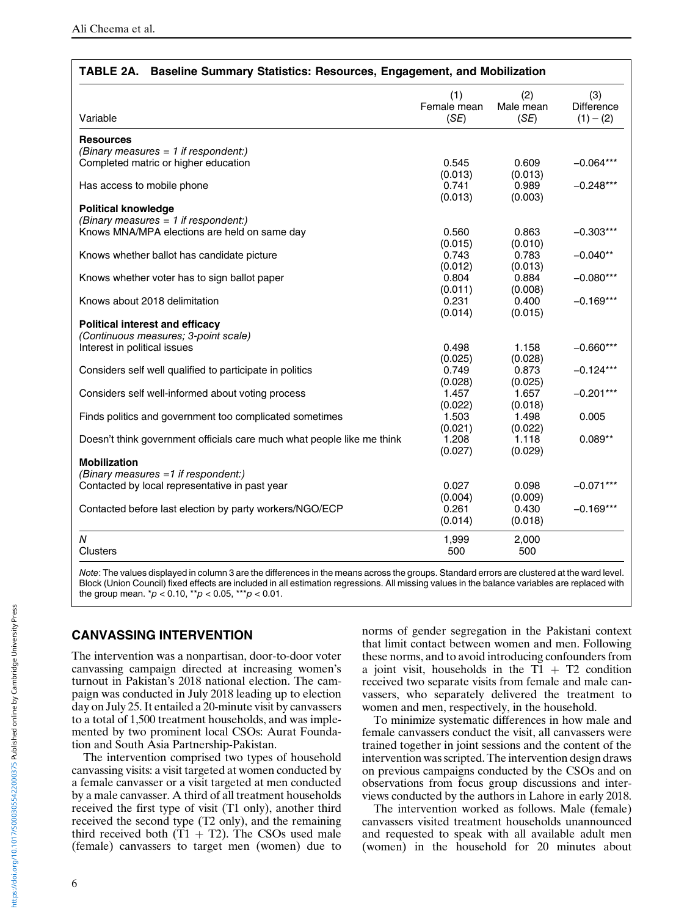<span id="page-5-0"></span>

| TABLE 2A. Baseline Summary Statistics: Resources, Engagement, and Mobilization |                    |                  |                   |
|--------------------------------------------------------------------------------|--------------------|------------------|-------------------|
|                                                                                | (1)<br>Female mean | (2)<br>Male mean | (3)<br>Difference |
| Variable                                                                       | (SE)               | (SE)             | $(1) - (2)$       |
| <b>Resources</b>                                                               |                    |                  |                   |
| (Binary measures $= 1$ if respondent:)                                         |                    |                  |                   |
| Completed matric or higher education                                           | 0.545              | 0.609            | $-0.064***$       |
|                                                                                | (0.013)            | (0.013)          |                   |
| Has access to mobile phone                                                     | 0.741              | 0.989            | $-0.248***$       |
|                                                                                | (0.013)            | (0.003)          |                   |
| <b>Political knowledge</b>                                                     |                    |                  |                   |
| (Binary measures $= 1$ if respondent:)                                         |                    |                  |                   |
| Knows MNA/MPA elections are held on same day                                   | 0.560              | 0.863            | $-0.303***$       |
|                                                                                | (0.015)            | (0.010)          |                   |
| Knows whether ballot has candidate picture                                     | 0.743              | 0.783            | $-0.040**$        |
|                                                                                | (0.012)            | (0.013)          |                   |
| Knows whether voter has to sign ballot paper                                   | 0.804              | 0.884            | $-0.080***$       |
|                                                                                | (0.011)            | (0.008)          |                   |
| Knows about 2018 delimitation                                                  | 0.231              | 0.400            | $-0.169***$       |
|                                                                                | (0.014)            | (0.015)          |                   |
| <b>Political interest and efficacy</b>                                         |                    |                  |                   |
| (Continuous measures; 3-point scale)                                           |                    |                  |                   |
| Interest in political issues                                                   | 0.498              | 1.158            | $-0.660***$       |
|                                                                                | (0.025)            | (0.028)          |                   |
| Considers self well qualified to participate in politics                       | 0.749              | 0.873            | $-0.124***$       |
|                                                                                | (0.028)            | (0.025)          |                   |
| Considers self well-informed about voting process                              | 1.457              | 1.657            | $-0.201***$       |
|                                                                                | (0.022)            | (0.018)          |                   |
| Finds politics and government too complicated sometimes                        | 1.503              | 1.498            | 0.005             |
|                                                                                | (0.021)            | (0.022)          |                   |
| Doesn't think government officials care much what people like me think         | 1.208              | 1.118            | $0.089**$         |
|                                                                                | (0.027)            | (0.029)          |                   |
| <b>Mobilization</b>                                                            |                    |                  |                   |
| (Binary measures =1 if respondent:)                                            |                    |                  |                   |
| Contacted by local representative in past year                                 | 0.027              | 0.098            | $-0.071***$       |
|                                                                                | (0.004)            | (0.009)          |                   |
| Contacted before last election by party workers/NGO/ECP                        | 0.261              | 0.430            | $-0.169***$       |
|                                                                                |                    |                  |                   |
|                                                                                | (0.014)            | (0.018)          |                   |
| N                                                                              | 1,999              | 2,000            |                   |
| Clusters                                                                       | 500                | 500              |                   |
|                                                                                |                    |                  |                   |
|                                                                                |                    |                  |                   |

Note: The values displayed in column 3 are the differences in the means across the groups. Standard errors are clustered at the ward level. Block (Union Council) fixed effects are included in all estimation regressions. All missing values in the balance variables are replaced with the group mean.  $p < 0.10$ ,  $p > 0.05$ ,  $p > 0.01$ .

# CANVASSING INTERVENTION

The intervention was a nonpartisan, door-to-door voter canvassing campaign directed at increasing women's turnout in Pakistan's 2018 national election. The campaign was conducted in July 2018 leading up to election day on July 25. It entailed a 20-minute visit by canvassers to a total of 1,500 treatment households, and was implemented by two prominent local CSOs: Aurat Foundation and South Asia Partnership-Pakistan.

The intervention comprised two types of household canvassing visits: a visit targeted at women conducted by a female canvasser or a visit targeted at men conducted by a male canvasser. A third of all treatment households received the first type of visit (T1 only), another third received the second type (T2 only), and the remaining third received both  $(T1 + T2)$ . The CSOs used male (female) canvassers to target men (women) due to

norms of gender segregation in the Pakistani context that limit contact between women and men. Following these norms, and to avoid introducing confounders from a joint visit, households in the  $T1 + T2$  condition received two separate visits from female and male canvassers, who separately delivered the treatment to women and men, respectively, in the household.

To minimize systematic differences in how male and female canvassers conduct the visit, all canvassers were trained together in joint sessions and the content of the intervention was scripted. The intervention design draws on previous campaigns conducted by the CSOs and on observations from focus group discussions and interviews conducted by the authors in Lahore in early 2018.

The intervention worked as follows. Male (female) canvassers visited treatment households unannounced and requested to speak with all available adult men (women) in the household for 20 minutes about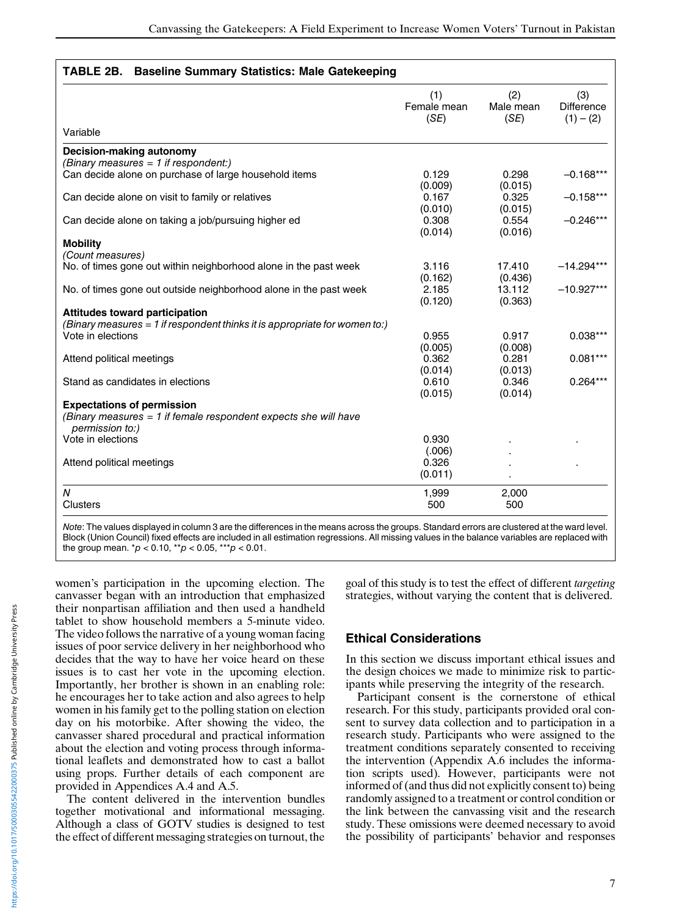| TABLE 2B. Baseline Summary Statistics: Male Gatekeeping |  |
|---------------------------------------------------------|--|
|                                                         |  |

<span id="page-6-0"></span>

|                                                                                           | (1)<br>Female mean<br>(SE) | (2)<br>Male mean<br>(SE) | (3)<br><b>Difference</b><br>$(1) - (2)$ |
|-------------------------------------------------------------------------------------------|----------------------------|--------------------------|-----------------------------------------|
| Variable                                                                                  |                            |                          |                                         |
| Decision-making autonomy                                                                  |                            |                          |                                         |
| (Binary measures $= 1$ if respondent:)                                                    |                            |                          |                                         |
| Can decide alone on purchase of large household items                                     | 0.129<br>(0.009)           | 0.298<br>(0.015)         | $-0.168***$                             |
| Can decide alone on visit to family or relatives                                          | 0.167<br>(0.010)           | 0.325<br>(0.015)         | $-0.158***$                             |
| Can decide alone on taking a job/pursuing higher ed                                       | 0.308<br>(0.014)           | 0.554<br>(0.016)         | $-0.246***$                             |
| <b>Mobility</b><br>(Count measures)                                                       |                            |                          |                                         |
| No. of times gone out within neighborhood alone in the past week                          | 3.116<br>(0.162)           | 17.410<br>(0.436)        | $-14.294***$                            |
| No. of times gone out outside neighborhood alone in the past week                         | 2.185<br>(0.120)           | 13.112<br>(0.363)        | $-10.927***$                            |
| <b>Attitudes toward participation</b>                                                     |                            |                          |                                         |
| (Binary measures = 1 if respondent thinks it is appropriate for women to:)                |                            |                          |                                         |
| Vote in elections                                                                         | 0.955<br>(0.005)           | 0.917<br>(0.008)         | $0.038***$                              |
| Attend political meetings                                                                 | 0.362<br>(0.014)           | 0.281<br>(0.013)         | $0.081***$                              |
| Stand as candidates in elections                                                          | 0.610<br>(0.015)           | 0.346<br>(0.014)         | $0.264***$                              |
| <b>Expectations of permission</b>                                                         |                            |                          |                                         |
| (Binary measures = 1 if female respondent expects she will have<br><i>permission to:)</i> |                            |                          |                                         |
| Vote in elections                                                                         | 0.930                      |                          |                                         |
| Attend political meetings                                                                 | (.006)<br>0.326            |                          |                                         |
|                                                                                           | (0.011)                    |                          |                                         |
| $\boldsymbol{N}$                                                                          | 1,999                      | 2,000                    |                                         |
| <b>Clusters</b>                                                                           | 500                        | 500                      |                                         |

Note: The values displayed in column 3 are the differences in the means across the groups. Standard errors are clustered at the ward level. Block (Union Council) fixed effects are included in all estimation regressions. All missing values in the balance variables are replaced with the group mean.  $p < 0.10$ ,  $p > 0.05$ ,  $p > 0.01$ .

women's participation in the upcoming election. The canvasser began with an introduction that emphasized their nonpartisan affiliation and then used a handheld tablet to show household members a 5-minute video. The video follows the narrative of a young woman facing issues of poor service delivery in her neighborhood who decides that the way to have her voice heard on these issues is to cast her vote in the upcoming election. Importantly, her brother is shown in an enabling role: he encourages her to take action and also agrees to help women in his family get to the polling station on election day on his motorbike. After showing the video, the canvasser shared procedural and practical information about the election and voting process through informational leaflets and demonstrated how to cast a ballot using props. Further details of each component are provided in Appendices A.4 and A.5.

The content delivered in the intervention bundles together motivational and informational messaging. Although a class of GOTV studies is designed to test the effect of different messaging strategies on turnout, the

goal of this study is to test the effect of different targeting strategies, without varying the content that is delivered.

# Ethical Considerations

In this section we discuss important ethical issues and the design choices we made to minimize risk to participants while preserving the integrity of the research.

Participant consent is the cornerstone of ethical research. For this study, participants provided oral consent to survey data collection and to participation in a research study. Participants who were assigned to the treatment conditions separately consented to receiving the intervention (Appendix A.6 includes the information scripts used). However, participants were not informed of (and thus did not explicitly consent to) being randomly assigned to a treatment or control condition or the link between the canvassing visit and the research study. These omissions were deemed necessary to avoid the possibility of participants' behavior and responses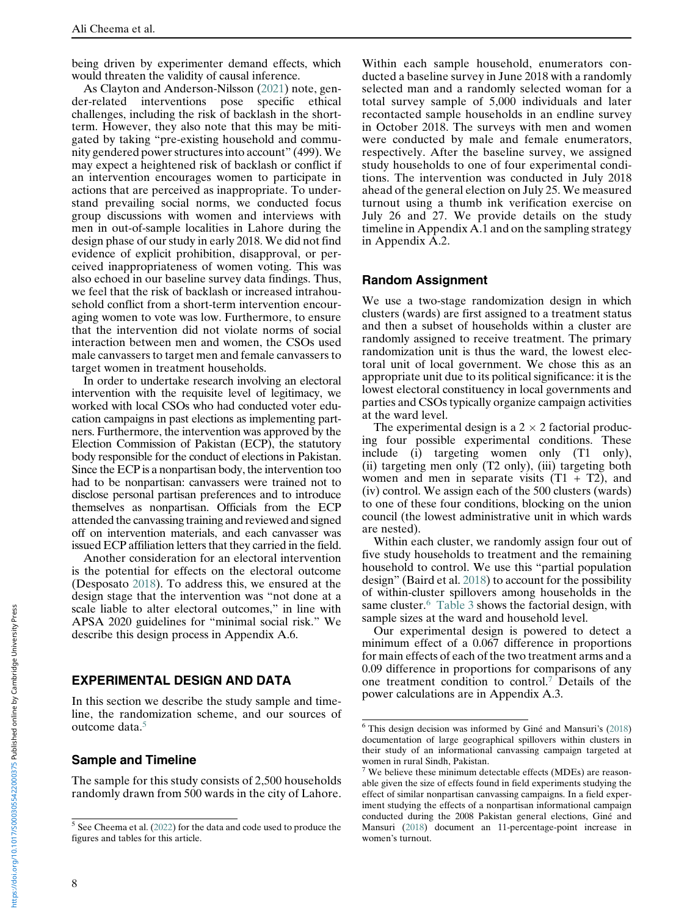being driven by experimenter demand effects, which would threaten the validity of causal inference.

As Clayton and Anderson-Nilsson ([2021\)](#page-18-23) note, gender-related interventions pose specific ethical challenges, including the risk of backlash in the shortterm. However, they also note that this may be mitigated by taking "pre-existing household and community gendered power structures into account" (499). We may expect a heightened risk of backlash or conflict if an intervention encourages women to participate in actions that are perceived as inappropriate. To understand prevailing social norms, we conducted focus group discussions with women and interviews with men in out-of-sample localities in Lahore during the design phase of our study in early 2018. We did not find evidence of explicit prohibition, disapproval, or perceived inappropriateness of women voting. This was also echoed in our baseline survey data findings. Thus, we feel that the risk of backlash or increased intrahousehold conflict from a short-term intervention encouraging women to vote was low. Furthermore, to ensure that the intervention did not violate norms of social interaction between men and women, the CSOs used male canvassers to target men and female canvassers to target women in treatment households.

In order to undertake research involving an electoral intervention with the requisite level of legitimacy, we worked with local CSOs who had conducted voter education campaigns in past elections as implementing partners. Furthermore, the intervention was approved by the Election Commission of Pakistan (ECP), the statutory body responsible for the conduct of elections in Pakistan. Since the ECP is a nonpartisan body, the intervention too had to be nonpartisan: canvassers were trained not to disclose personal partisan preferences and to introduce themselves as nonpartisan. Officials from the ECP attended the canvassing training and reviewed and signed off on intervention materials, and each canvasser was issued ECP affiliation letters that they carried in the field.

Another consideration for an electoral intervention is the potential for effects on the electoral outcome (Desposato [2018\)](#page-18-24). To address this, we ensured at the design stage that the intervention was "not done at a scale liable to alter electoral outcomes," in line with APSA 2020 guidelines for "minimal social risk." We describe this design process in Appendix A.6.

### EXPERIMENTAL DESIGN AND DATA

<span id="page-7-1"></span>In this section we describe the study sample and timeline, the randomization scheme, and our sources of outcome data.[5](#page-7-0)

### Sample and Timeline

<span id="page-7-2"></span>The sample for this study consists of 2,500 households randomly drawn from 500 wards in the city of Lahore. Within each sample household, enumerators conducted a baseline survey in June 2018 with a randomly selected man and a randomly selected woman for a total survey sample of 5,000 individuals and later recontacted sample households in an endline survey in October 2018. The surveys with men and women were conducted by male and female enumerators, respectively. After the baseline survey, we assigned study households to one of four experimental conditions. The intervention was conducted in July 2018 ahead of the general election on July 25. We measured turnout using a thumb ink verification exercise on July 26 and 27. We provide details on the study timeline in Appendix A.1 and on the sampling strategy in Appendix A.2.

#### Random Assignment

We use a two-stage randomization design in which clusters (wards) are first assigned to a treatment status and then a subset of households within a cluster are randomly assigned to receive treatment. The primary randomization unit is thus the ward, the lowest electoral unit of local government. We chose this as an appropriate unit due to its political significance: it is the lowest electoral constituency in local governments and parties and CSOs typically organize campaign activities at the ward level.

The experimental design is a  $2 \times 2$  factorial producing four possible experimental conditions. These include (i) targeting women only (T1 only), (ii) targeting men only (T2 only), (iii) targeting both women and men in separate visits  $(T1 + T2)$ , and (iv) control. We assign each of the 500 clusters (wards) to one of these four conditions, blocking on the union council (the lowest administrative unit in which wards are nested).

Within each cluster, we randomly assign four out of five study households to treatment and the remaining household to control. We use this "partial population design" (Baird et al. [2018](#page-18-25)) to account for the possibility of within-cluster spillovers among households in the same cluster.<sup>[6](#page-7-1)</sup> [Table 3](#page-8-0) shows the factorial design, with sample sizes at the ward and household level.

Our experimental design is powered to detect a minimum effect of a 0.067 difference in proportions for main effects of each of the two treatment arms and a 0.09 difference in proportions for comparisons of any one treatment condition to control.[7](#page-7-2) Details of the power calculations are in Appendix A.3.

<span id="page-7-0"></span> $5$  See Cheema et al. [\(2022](#page-18-26)) for the data and code used to produce the figures and tables for this article.

 $6$  This design decision was informed by Giné and Mansuri's [\(2018](#page-19-7)) documentation of large geographical spillovers within clusters in their study of an informational canvassing campaign targeted at women in rural Sindh, Pakistan.

<sup>&</sup>lt;sup>7</sup> We believe these minimum detectable effects (MDEs) are reasonable given the size of effects found in field experiments studying the effect of similar nonpartisan canvassing campaigns. In a field experiment studying the effects of a nonpartisan informational campaign conducted during the 2008 Pakistan general elections, Giné and Mansuri ([2018\)](#page-19-7) document an 11-percentage-point increase in women's turnout.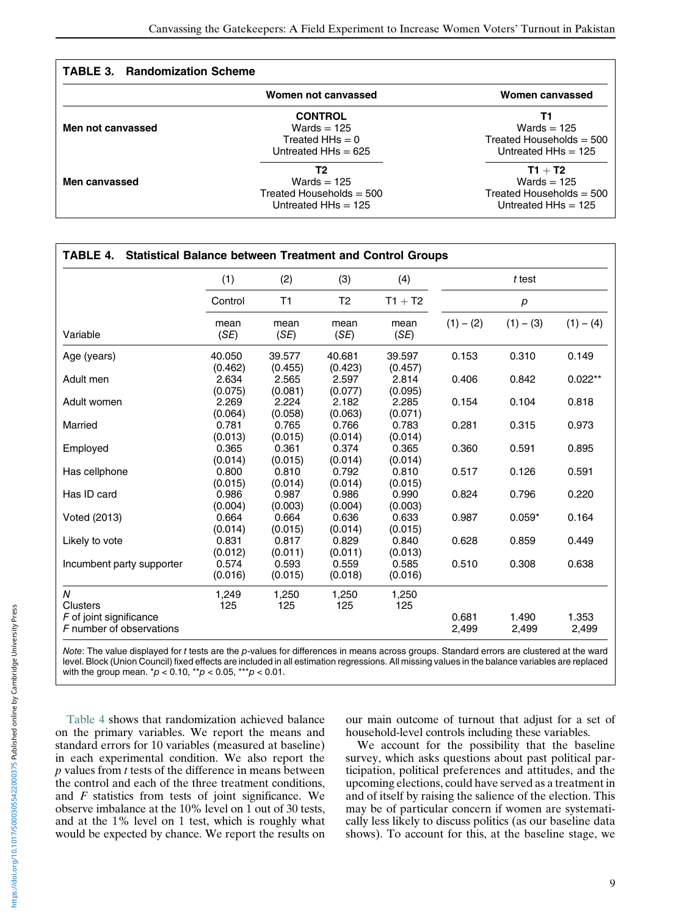| <b>TABLE 3. Randomization Scheme</b> |                                                                               |                                                                                   |  |  |
|--------------------------------------|-------------------------------------------------------------------------------|-----------------------------------------------------------------------------------|--|--|
|                                      | Women not canvassed                                                           | Women canvassed                                                                   |  |  |
| Men not canvassed                    | <b>CONTROL</b><br>Wards $= 125$<br>Treated HHs $= 0$<br>Untreated $HHs = 625$ | Т1<br>Wards $= 125$<br>Treated Households $=$ 500<br>Untreated $HHs = 125$        |  |  |
| Men canvassed                        | Т2<br>Wards $= 125$<br>Treated Households $=$ 500<br>Untreated $HHs = 125$    | $T1 + T2$<br>Wards $= 125$<br>Treated Households $=$ 500<br>Untreated $HHs = 125$ |  |  |

<span id="page-8-0"></span>

| TABLE 4.<br><b>Statistical Balance between Treatment and Control Groups</b> |                   |                   |                   |                   |                |                |                |
|-----------------------------------------------------------------------------|-------------------|-------------------|-------------------|-------------------|----------------|----------------|----------------|
|                                                                             | (1)               | (2)               | (3)               | (4)               |                | t test         |                |
|                                                                             | Control           | T1                | T <sub>2</sub>    | $T1 + T2$         |                | p              |                |
| Variable                                                                    | mean<br>(SE)      | mean<br>(SE)      | mean<br>(SE)      | mean<br>(SE)      | $(1) - (2)$    | $(1) - (3)$    | $(1) - (4)$    |
| Age (years)                                                                 | 40.050<br>(0.462) | 39.577<br>(0.455) | 40.681<br>(0.423) | 39.597<br>(0.457) | 0.153          | 0.310          | 0.149          |
| Adult men                                                                   | 2.634<br>(0.075)  | 2.565<br>(0.081)  | 2.597<br>(0.077)  | 2.814<br>(0.095)  | 0.406          | 0.842          | $0.022**$      |
| Adult women                                                                 | 2.269<br>(0.064)  | 2.224<br>(0.058)  | 2.182<br>(0.063)  | 2.285<br>(0.071)  | 0.154          | 0.104          | 0.818          |
| Married                                                                     | 0.781<br>(0.013)  | 0.765<br>(0.015)  | 0.766<br>(0.014)  | 0.783<br>(0.014)  | 0.281          | 0.315          | 0.973          |
| Employed                                                                    | 0.365<br>(0.014)  | 0.361<br>(0.015)  | 0.374<br>(0.014)  | 0.365<br>(0.014)  | 0.360          | 0.591          | 0.895          |
| Has cellphone                                                               | 0.800<br>(0.015)  | 0.810<br>(0.014)  | 0.792<br>(0.014)  | 0.810<br>(0.015)  | 0.517          | 0.126          | 0.591          |
| Has ID card                                                                 | 0.986<br>(0.004)  | 0.987<br>(0.003)  | 0.986<br>(0.004)  | 0.990<br>(0.003)  | 0.824          | 0.796          | 0.220          |
| Voted (2013)                                                                | 0.664<br>(0.014)  | 0.664<br>(0.015)  | 0.636<br>(0.014)  | 0.633<br>(0.015)  | 0.987          | $0.059*$       | 0.164          |
| Likely to vote                                                              | 0.831<br>(0.012)  | 0.817<br>(0.011)  | 0.829<br>(0.011)  | 0.840<br>(0.013)  | 0.628          | 0.859          | 0.449          |
| Incumbent party supporter                                                   | 0.574<br>(0.016)  | 0.593<br>(0.015)  | 0.559<br>(0.018)  | 0.585<br>(0.016)  | 0.510          | 0.308          | 0.638          |
| N<br><b>Clusters</b>                                                        | 1,249<br>125      | 1,250<br>125      | 1,250<br>125      | 1,250<br>125      |                |                |                |
| F of joint significance<br>F number of observations                         |                   |                   |                   |                   | 0.681<br>2,499 | 1.490<br>2,499 | 1.353<br>2,499 |

Note: The value displayed for t tests are the p-values for differences in means across groups. Standard errors are clustered at the ward level. Block (Union Council) fixed effects are included in all estimation regressions. All missing values in the balance variables are replaced with the group mean.  $p < 0.10$ ,  $\alpha p < 0.05$ ,  $\alpha p < 0.01$ .

[Table 4](#page-12-0) shows that randomization achieved balance on the primary variables. We report the means and standard errors for 10 variables (measured at baseline) in each experimental condition. We also report the  $p$  values from  $t$  tests of the difference in means between the control and each of the three treatment conditions, and  $F$  statistics from tests of joint significance. We observe imbalance at the 10% level on 1 out of 30 tests, and at the 1% level on 1 test, which is roughly what would be expected by chance. We report the results on our main outcome of turnout that adjust for a set of household-level controls including these variables.

We account for the possibility that the baseline survey, which asks questions about past political participation, political preferences and attitudes, and the upcoming elections, could have served as a treatment in and of itself by raising the salience of the election. This may be of particular concern if women are systematically less likely to discuss politics (as our baseline data shows). To account for this, at the baseline stage, we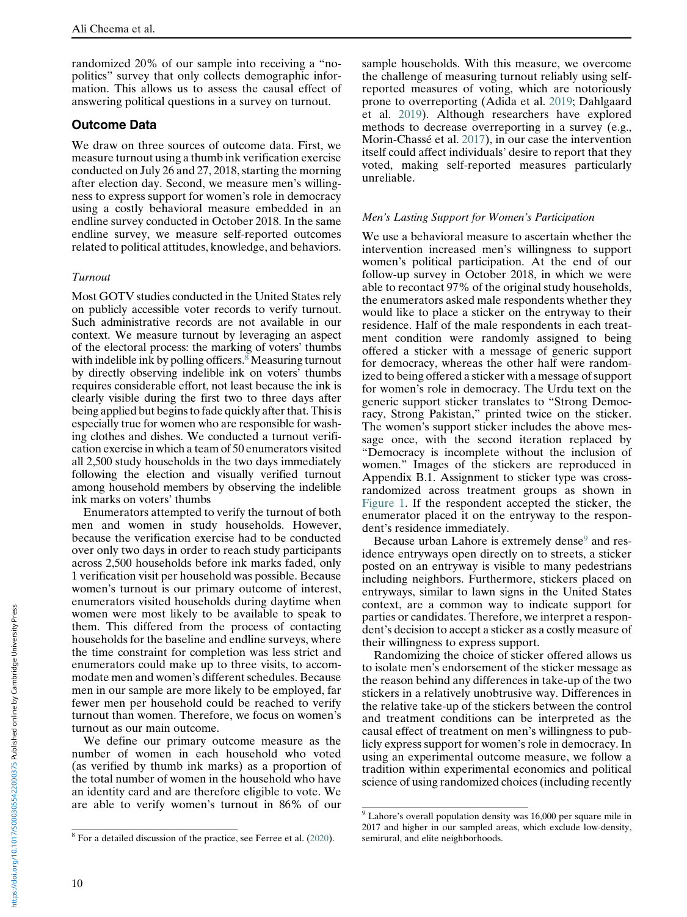randomized 20% of our sample into receiving a "nopolitics" survey that only collects demographic information. This allows us to assess the causal effect of answering political questions in a survey on turnout.

# Outcome Data

We draw on three sources of outcome data. First, we measure turnout using a thumb ink verification exercise conducted on July 26 and 27, 2018, starting the morning after election day. Second, we measure men's willingness to express support for women's role in democracy using a costly behavioral measure embedded in an endline survey conducted in October 2018. In the same endline survey, we measure self-reported outcomes related to political attitudes, knowledge, and behaviors.

## Turnout

Most GOTV studies conducted in the United States rely on publicly accessible voter records to verify turnout. Such administrative records are not available in our context. We measure turnout by leveraging an aspect of the electoral process: the marking of voters' thumbs with indelible ink by polling officers.<sup>8</sup> Measuring turnout by directly observing indelible ink on voters' thumbs requires considerable effort, not least because the ink is clearly visible during the first two to three days after being applied but begins to fade quickly after that. This is especially true for women who are responsible for washing clothes and dishes. We conducted a turnout verification exercise in which a team of 50 enumerators visited all 2,500 study households in the two days immediately following the election and visually verified turnout among household members by observing the indelible ink marks on voters' thumbs

Enumerators attempted to verify the turnout of both men and women in study households. However, because the verification exercise had to be conducted over only two days in order to reach study participants across 2,500 households before ink marks faded, only 1 verification visit per household was possible. Because women's turnout is our primary outcome of interest, enumerators visited households during daytime when women were most likely to be available to speak to them. This differed from the process of contacting households for the baseline and endline surveys, where the time constraint for completion was less strict and enumerators could make up to three visits, to accommodate men and women's different schedules. Because men in our sample are more likely to be employed, far fewer men per household could be reached to verify turnout than women. Therefore, we focus on women's turnout as our main outcome.

We define our primary outcome measure as the number of women in each household who voted (as verified by thumb ink marks) as a proportion of the total number of women in the household who have an identity card and are therefore eligible to vote. We are able to verify women's turnout in 86% of our

sample households. With this measure, we overcome the challenge of measuring turnout reliably using selfreported measures of voting, which are notoriously prone to overreporting (Adida et al. [2019;](#page-18-27) Dahlgaard et al. [2019\)](#page-18-17). Although researchers have explored methods to decrease overreporting in a survey (e.g., Morin-Chassé et al. [2017](#page-19-30)), in our case the intervention itself could affect individuals' desire to report that they voted, making self-reported measures particularly unreliable.

## Men's Lasting Support for Women's Participation

We use a behavioral measure to ascertain whether the intervention increased men's willingness to support women's political participation. At the end of our follow-up survey in October 2018, in which we were able to recontact 97% of the original study households, the enumerators asked male respondents whether they would like to place a sticker on the entryway to their residence. Half of the male respondents in each treatment condition were randomly assigned to being offered a sticker with a message of generic support for democracy, whereas the other half were randomized to being offered a sticker with a message of support for women's role in democracy. The Urdu text on the generic support sticker translates to "Strong Democracy, Strong Pakistan," printed twice on the sticker. The women's support sticker includes the above message once, with the second iteration replaced by "Democracy is incomplete without the inclusion of women." Images of the stickers are reproduced in Appendix B.1. Assignment to sticker type was crossrandomized across treatment groups as shown in [Figure 1](#page-10-0). If the respondent accepted the sticker, the enumerator placed it on the entryway to the respondent's residence immediately.

Because urban Lahore is extremely dense<sup>[9](#page-9-1)</sup> and residence entryways open directly on to streets, a sticker posted on an entryway is visible to many pedestrians including neighbors. Furthermore, stickers placed on entryways, similar to lawn signs in the United States context, are a common way to indicate support for parties or candidates. Therefore, we interpret a respondent's decision to accept a sticker as a costly measure of their willingness to express support.

Randomizing the choice of sticker offered allows us to isolate men's endorsement of the sticker message as the reason behind any differences in take-up of the two stickers in a relatively unobtrusive way. Differences in the relative take-up of the stickers between the control and treatment conditions can be interpreted as the causal effect of treatment on men's willingness to publicly express support for women's role in democracy. In using an experimental outcome measure, we follow a tradition within experimental economics and political science of using randomized choices (including recently

<span id="page-9-1"></span><span id="page-9-0"></span> $8$  For a detailed discussion of the practice, see Ferree et al. [\(2020](#page-18-28)).

<sup>9</sup> Lahore's overall population density was 16,000 per square mile in 2017 and higher in our sampled areas, which exclude low-density, semirural, and elite neighborhoods.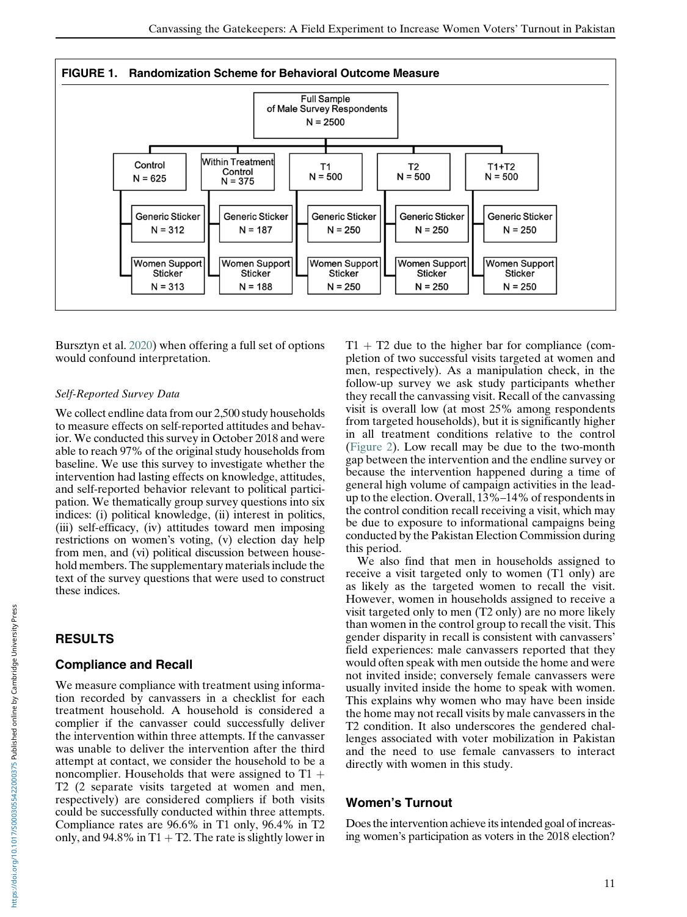<span id="page-10-0"></span>

Bursztyn et al. [2020\)](#page-18-6) when offering a full set of options would confound interpretation.

### Self-Reported Survey Data

We collect endline data from our 2,500 study households to measure effects on self-reported attitudes and behavior. We conducted this survey in October 2018 and were able to reach 97% of the original study households from baseline. We use this survey to investigate whether the intervention had lasting effects on knowledge, attitudes, and self-reported behavior relevant to political participation. We thematically group survey questions into six indices: (i) political knowledge, (ii) interest in politics, (iii) self-efficacy, (iv) attitudes toward men imposing restrictions on women's voting, (v) election day help from men, and (vi) political discussion between household members. The supplementary materials include the text of the survey questions that were used to construct these indices.

# RESULTS

# Compliance and Recall

We measure compliance with treatment using information recorded by canvassers in a checklist for each treatment household. A household is considered a complier if the canvasser could successfully deliver the intervention within three attempts. If the canvasser was unable to deliver the intervention after the third attempt at contact, we consider the household to be a noncomplier. Households that were assigned to  $T1 +$ T2 (2 separate visits targeted at women and men, respectively) are considered compliers if both visits could be successfully conducted within three attempts. Compliance rates are 96.6% in T1 only, 96.4% in T2 only, and 94.8% in  $T1 + T2$ . The rate is slightly lower in  $T1 + T2$  due to the higher bar for compliance (completion of two successful visits targeted at women and men, respectively). As a manipulation check, in the follow-up survey we ask study participants whether they recall the canvassing visit. Recall of the canvassing visit is overall low (at most 25% among respondents from targeted households), but it is significantly higher in all treatment conditions relative to the control ([Figure 2](#page-11-0)). Low recall may be due to the two-month gap between the intervention and the endline survey or because the intervention happened during a time of general high volume of campaign activities in the leadup to the election. Overall, 13%–14% of respondents in the control condition recall receiving a visit, which may be due to exposure to informational campaigns being conducted by the Pakistan Election Commission during this period.

We also find that men in households assigned to receive a visit targeted only to women (T1 only) are as likely as the targeted women to recall the visit. However, women in households assigned to receive a visit targeted only to men (T2 only) are no more likely than women in the control group to recall the visit. This gender disparity in recall is consistent with canvassers' field experiences: male canvassers reported that they would often speak with men outside the home and were not invited inside; conversely female canvassers were usually invited inside the home to speak with women. This explains why women who may have been inside the home may not recall visits by male canvassers in the T2 condition. It also underscores the gendered challenges associated with voter mobilization in Pakistan and the need to use female canvassers to interact directly with women in this study.

# Women's Turnout

Does the intervention achieve its intended goal of increasing women's participation as voters in the 2018 election?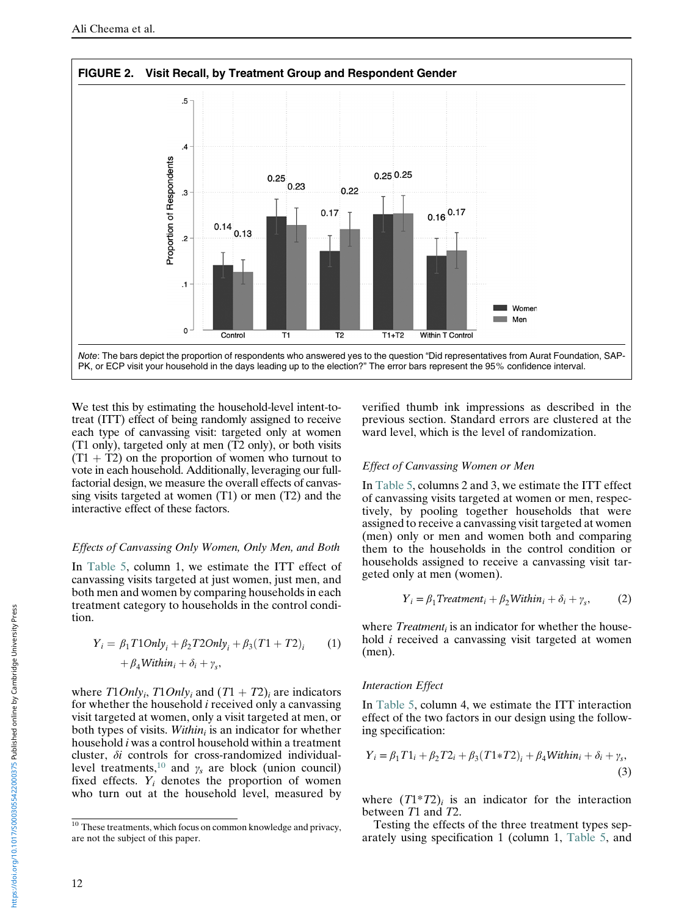<span id="page-11-0"></span>

We test this by estimating the household-level intent-totreat (ITT) effect of being randomly assigned to receive each type of canvassing visit: targeted only at women (T1 only), targeted only at men (T2 only), or both visits  $(T1 + T2)$  on the proportion of women who turnout to vote in each household. Additionally, leveraging our fullfactorial design, we measure the overall effects of canvassing visits targeted at women (T1) or men (T2) and the interactive effect of these factors.

### Effects of Canvassing Only Women, Only Men, and Both

In [Table 5](#page-12-0), column 1, we estimate the ITT effect of canvassing visits targeted at just women, just men, and both men and women by comparing households in each treatment category to households in the control condition.

$$
Y_i = \beta_1 T1Only_i + \beta_2 T2Only_i + \beta_3 (T1 + T2)_i \qquad (1)
$$

$$
+ \beta_4 Within_i + \delta_i + \gamma_s,
$$

where  $T1Only_i$ ,  $T1Only_i$  and  $(T1 + T2)_i$  are indicators for whether the household  $i$  received only a canvassing visit targeted at women, only a visit targeted at men, or both types of visits. Within is an indicator for whether household i was a control household within a treatment cluster, δi controls for cross-randomized individual-level treatments,<sup>[10](#page-11-1)</sup> and  $\gamma_s$  are block (union council) fixed effects.  $Y_i$  denotes the proportion of women who turn out at the household level, measured by

verified thumb ink impressions as described in the previous section. Standard errors are clustered at the ward level, which is the level of randomization.

#### Effect of Canvassing Women or Men

In [Table 5,](#page-12-0) columns 2 and 3, we estimate the ITT effect of canvassing visits targeted at women or men, respectively, by pooling together households that were assigned to receive a canvassing visit targeted at women (men) only or men and women both and comparing them to the households in the control condition or households assigned to receive a canvassing visit targeted only at men (women).

$$
Y_i = \beta_1 Treatment_i + \beta_2 Within_i + \delta_i + \gamma_s,
$$
 (2)

where  $Treatment<sub>i</sub>$  is an indicator for whether the household i received a canvassing visit targeted at women (men).

#### Interaction Effect

In [Table 5](#page-12-0), column 4, we estimate the ITT interaction effect of the two factors in our design using the following specification:

$$
Y_i = \beta_1 T 1_i + \beta_2 T 2_i + \beta_3 (T 1 * T 2)_i + \beta_4 \text{Within}_i + \delta_i + \gamma_s,
$$
\n(3)

where  $(T1^*T2)_i$  is an indicator for the interaction between T1 and T2.

Testing the effects of the three treatment types separately using specification 1 (column 1, [Table 5,](#page-12-0) and

<span id="page-11-1"></span><sup>&</sup>lt;sup>10</sup> These treatments, which focus on common knowledge and privacy, are not the subject of this paper.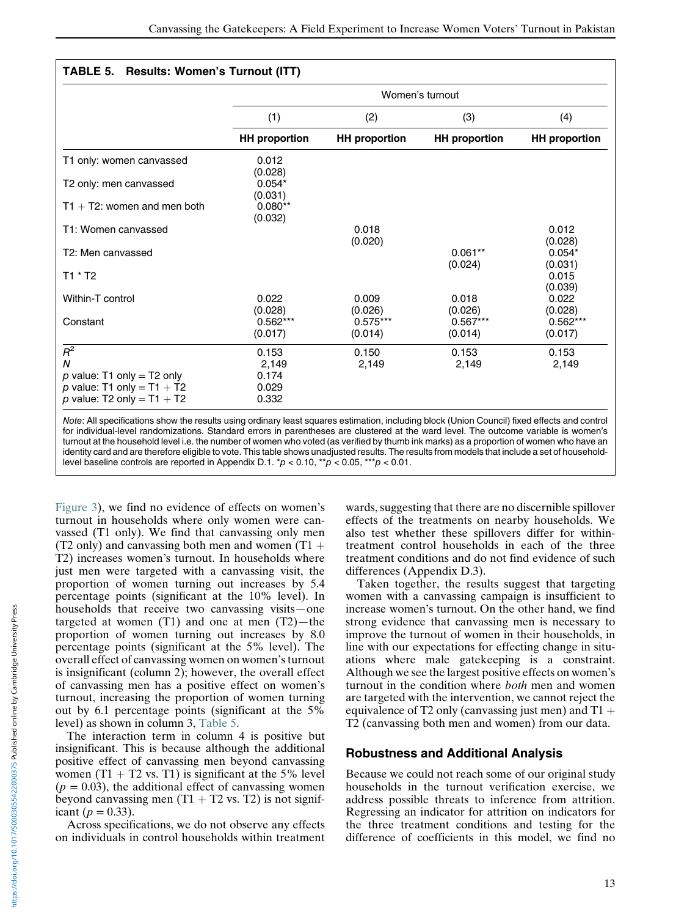## <span id="page-12-0"></span>TABLE 5. Results: Women's Turnout (ITT)

|                                                              | Women's turnout       |                       |                       |                       |
|--------------------------------------------------------------|-----------------------|-----------------------|-----------------------|-----------------------|
|                                                              | (1)                   | (2)                   | (3)                   | (4)                   |
|                                                              | <b>HH</b> proportion  | <b>HH</b> proportion  | <b>HH</b> proportion  | <b>HH</b> proportion  |
| T1 only: women canvassed                                     | 0.012<br>(0.028)      |                       |                       |                       |
| T2 only: men canvassed                                       | $0.054*$<br>(0.031)   |                       |                       |                       |
| $T1 + T2$ : women and men both                               | $0.080**$<br>(0.032)  |                       |                       |                       |
| T1: Women canvassed                                          |                       | 0.018<br>(0.020)      |                       | 0.012<br>(0.028)      |
| T <sub>2</sub> : Men canvassed                               |                       |                       | $0.061**$<br>(0.024)  | $0.054*$<br>(0.031)   |
| $T1 * T2$                                                    |                       |                       |                       | 0.015<br>(0.039)      |
| Within-T control                                             | 0.022<br>(0.028)      | 0.009<br>(0.026)      | 0.018<br>(0.026)      | 0.022<br>(0.028)      |
| Constant                                                     | $0.562***$<br>(0.017) | $0.575***$<br>(0.014) | $0.567***$<br>(0.014) | $0.562***$<br>(0.017) |
| $R^2$                                                        | 0.153                 | 0.150                 | 0.153                 | 0.153                 |
| $\boldsymbol{N}$                                             | 2,149                 | 2,149                 | 2,149                 | 2,149                 |
| p value: T1 only = T2 only                                   | 0.174                 |                       |                       |                       |
| p value: T1 only = $T1 + T2$<br>p value: T2 only = $T1 + T2$ | 0.029<br>0.332        |                       |                       |                       |

Note: All specifications show the results using ordinary least squares estimation, including block (Union Council) fixed effects and control for individual-level randomizations. Standard errors in parentheses are clustered at the ward level. The outcome variable is women's turnout at the household level i.e. the number of women who voted (as verified by thumb ink marks) as a proportion of women who have an identity card and are therefore eligible to vote. This table shows unadjusted results. The results from models that include a set of householdlevel baseline controls are reported in Appendix D.1. \* $p < 0.10$ , \*\* $p < 0.05$ , \*\*\* $p < 0.01$ .

[Figure 3](#page-13-0)), we find no evidence of effects on women's turnout in households where only women were canvassed (T1 only). We find that canvassing only men (T2 only) and canvassing both men and women  $(T1 +$ T2) increases women's turnout. In households where just men were targeted with a canvassing visit, the proportion of women turning out increases by 5.4 percentage points (significant at the 10% level). In households that receive two canvassing visits—one targeted at women  $(T1)$  and one at men  $(T2)$ —the proportion of women turning out increases by 8.0 percentage points (significant at the 5% level). The overall effect of canvassing women on women's turnout is insignificant (column 2); however, the overall effect of canvassing men has a positive effect on women's turnout, increasing the proportion of women turning out by 6.1 percentage points (significant at the 5% level) as shown in column 3, [Table 5](#page-12-0).

The interaction term in column 4 is positive but insignificant. This is because although the additional positive effect of canvassing men beyond canvassing women  $(T1 + T2 \text{ vs. } T1)$  is significant at the 5% level  $(p = 0.03)$ , the additional effect of canvassing women beyond canvassing men  $(T1 + T2 \text{ vs. } T2)$  is not significant ( $p = 0.33$ ).

Across specifications, we do not observe any effects on individuals in control households within treatment wards, suggesting that there are no discernible spillover effects of the treatments on nearby households. We also test whether these spillovers differ for withintreatment control households in each of the three treatment conditions and do not find evidence of such differences (Appendix D.3).

Taken together, the results suggest that targeting women with a canvassing campaign is insufficient to increase women's turnout. On the other hand, we find strong evidence that canvassing men is necessary to improve the turnout of women in their households, in line with our expectations for effecting change in situations where male gatekeeping is a constraint. Although we see the largest positive effects on women's turnout in the condition where both men and women are targeted with the intervention, we cannot reject the equivalence of T2 only (canvassing just men) and  $T1 +$ T2 (canvassing both men and women) from our data.

# Robustness and Additional Analysis

Because we could not reach some of our original study households in the turnout verification exercise, we address possible threats to inference from attrition. Regressing an indicator for attrition on indicators for the three treatment conditions and testing for the difference of coefficients in this model, we find no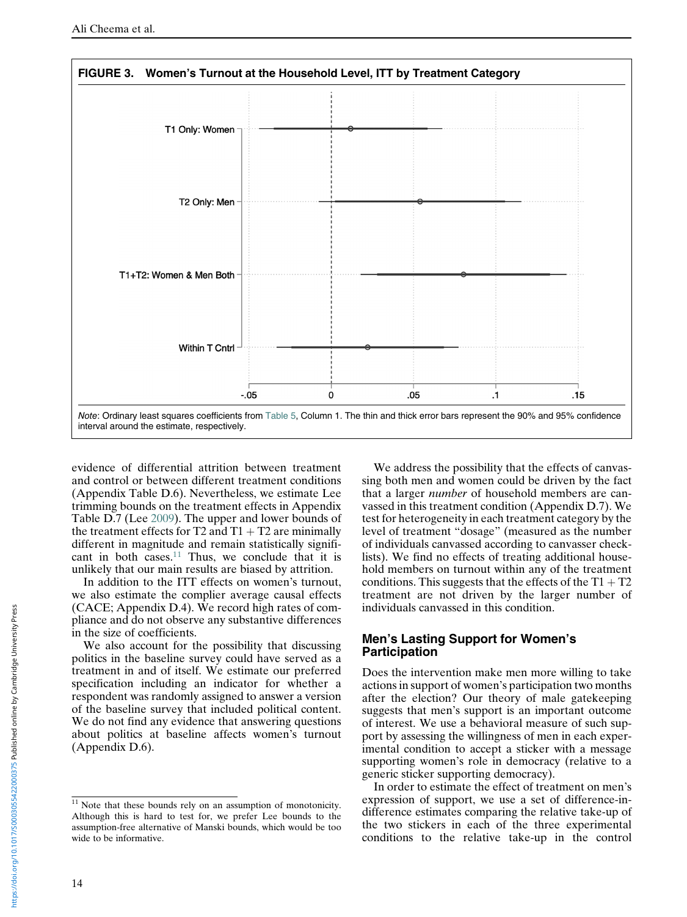<span id="page-13-0"></span>

evidence of differential attrition between treatment and control or between different treatment conditions (Appendix Table D.6). Nevertheless, we estimate Lee trimming bounds on the treatment effects in Appendix Table D.7 (Lee [2009\)](#page-19-12). The upper and lower bounds of the treatment effects for T2 and  $T1 + T2$  are minimally different in magnitude and remain statistically signifi-cant in both cases.<sup>[11](#page-13-1)</sup> Thus, we conclude that it is unlikely that our main results are biased by attrition.

In addition to the ITT effects on women's turnout, we also estimate the complier average causal effects (CACE; Appendix D.4). We record high rates of compliance and do not observe any substantive differences in the size of coefficients.

We also account for the possibility that discussing politics in the baseline survey could have served as a treatment in and of itself. We estimate our preferred specification including an indicator for whether a respondent was randomly assigned to answer a version of the baseline survey that included political content. We do not find any evidence that answering questions about politics at baseline affects women's turnout (Appendix D.6).

We address the possibility that the effects of canvassing both men and women could be driven by the fact that a larger number of household members are canvassed in this treatment condition (Appendix D.7). We test for heterogeneity in each treatment category by the level of treatment "dosage" (measured as the number of individuals canvassed according to canvasser checklists). We find no effects of treating additional household members on turnout within any of the treatment conditions. This suggests that the effects of the  $T1 + T2$ treatment are not driven by the larger number of individuals canvassed in this condition.

## Men's Lasting Support for Women's Participation

Does the intervention make men more willing to take actions in support of women's participation two months after the election? Our theory of male gatekeeping suggests that men's support is an important outcome of interest. We use a behavioral measure of such support by assessing the willingness of men in each experimental condition to accept a sticker with a message supporting women's role in democracy (relative to a generic sticker supporting democracy).

In order to estimate the effect of treatment on men's expression of support, we use a set of difference-indifference estimates comparing the relative take-up of the two stickers in each of the three experimental conditions to the relative take-up in the control

<span id="page-13-1"></span> $11$  Note that these bounds rely on an assumption of monotonicity. Although this is hard to test for, we prefer Lee bounds to the assumption-free alternative of Manski bounds, which would be too wide to be informative.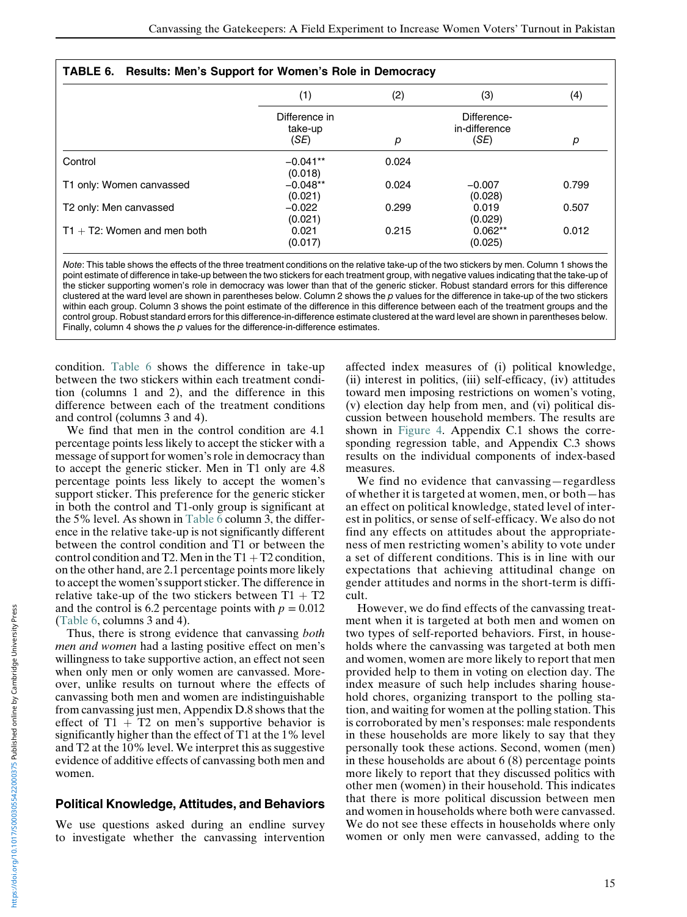<span id="page-14-0"></span>

| TABLE 6. Results: Men's Support for Women's Role in Democracy |                                  |       |                                      |       |
|---------------------------------------------------------------|----------------------------------|-------|--------------------------------------|-------|
|                                                               | (1)                              | (2)   | (3)                                  | (4)   |
|                                                               | Difference in<br>take-up<br>(SE) | р     | Difference-<br>in-difference<br>(SE) | р     |
| Control                                                       | $-0.041**$<br>(0.018)            | 0.024 |                                      |       |
| T1 only: Women canvassed                                      | $-0.048**$<br>(0.021)            | 0.024 | $-0.007$<br>(0.028)                  | 0.799 |
| T2 only: Men canvassed                                        | $-0.022$<br>(0.021)              | 0.299 | 0.019<br>(0.029)                     | 0.507 |
| $T1 + T2$ : Women and men both                                | 0.021<br>(0.017)                 | 0.215 | $0.062**$<br>(0.025)                 | 0.012 |

Note: This table shows the effects of the three treatment conditions on the relative take-up of the two stickers by men. Column 1 shows the point estimate of difference in take-up between the two stickers for each treatment group, with negative values indicating that the take-up of the sticker supporting women's role in democracy was lower than that of the generic sticker. Robust standard errors for this difference clustered at the ward level are shown in parentheses below. Column 2 shows the  $p$  values for the difference in take-up of the two stickers within each group. Column 3 shows the point estimate of the difference in this difference between each of the treatment groups and the control group. Robust standard errors for this difference-in-difference estimate clustered at the ward level are shown in parentheses below. Finally, column 4 shows the  $p$  values for the difference-in-difference estimates.

condition. [Table 6](#page-14-0) shows the difference in take-up between the two stickers within each treatment condition (columns 1 and 2), and the difference in this difference between each of the treatment conditions and control (columns 3 and 4).

We find that men in the control condition are 4.1 percentage points less likely to accept the sticker with a message of support for women's role in democracy than to accept the generic sticker. Men in T1 only are 4.8 percentage points less likely to accept the women's support sticker. This preference for the generic sticker in both the control and T1-only group is significant at the 5% level. As shown in [Table 6](#page-14-0) column 3, the difference in the relative take-up is not significantly different between the control condition and T1 or between the control condition and T2. Men in the  $T1 + T2$  condition, on the other hand, are 2.1 percentage points more likely to accept the women's support sticker. The difference in relative take-up of the two stickers between  $T1 + T2$ and the control is 6.2 percentage points with  $p = 0.012$ ([Table 6,](#page-14-0) columns 3 and 4).

Thus, there is strong evidence that canvassing both men and women had a lasting positive effect on men's willingness to take supportive action, an effect not seen when only men or only women are canvassed. Moreover, unlike results on turnout where the effects of canvassing both men and women are indistinguishable from canvassing just men, Appendix D.8 shows that the effect of  $T1 + T2$  on men's supportive behavior is significantly higher than the effect of T1 at the 1% level and T2 at the 10% level. We interpret this as suggestive evidence of additive effects of canvassing both men and women.

# Political Knowledge, Attitudes, and Behaviors

We use questions asked during an endline survey to investigate whether the canvassing intervention affected index measures of (i) political knowledge, (ii) interest in politics, (iii) self-efficacy, (iv) attitudes toward men imposing restrictions on women's voting, (v) election day help from men, and (vi) political discussion between household members. The results are shown in [Figure 4](#page-15-0). Appendix C.1 shows the corresponding regression table, and Appendix C.3 shows results on the individual components of index-based measures.

We find no evidence that canvassing—regardless of whether it is targeted at women, men, or both—has an effect on political knowledge, stated level of interest in politics, or sense of self-efficacy. We also do not find any effects on attitudes about the appropriateness of men restricting women's ability to vote under a set of different conditions. This is in line with our expectations that achieving attitudinal change on gender attitudes and norms in the short-term is difficult.

However, we do find effects of the canvassing treatment when it is targeted at both men and women on two types of self-reported behaviors. First, in households where the canvassing was targeted at both men and women, women are more likely to report that men provided help to them in voting on election day. The index measure of such help includes sharing household chores, organizing transport to the polling station, and waiting for women at the polling station. This is corroborated by men's responses: male respondents in these households are more likely to say that they personally took these actions. Second, women (men) in these households are about 6 (8) percentage points more likely to report that they discussed politics with other men (women) in their household. This indicates that there is more political discussion between men and women in households where both were canvassed. We do not see these effects in households where only women or only men were canvassed, adding to the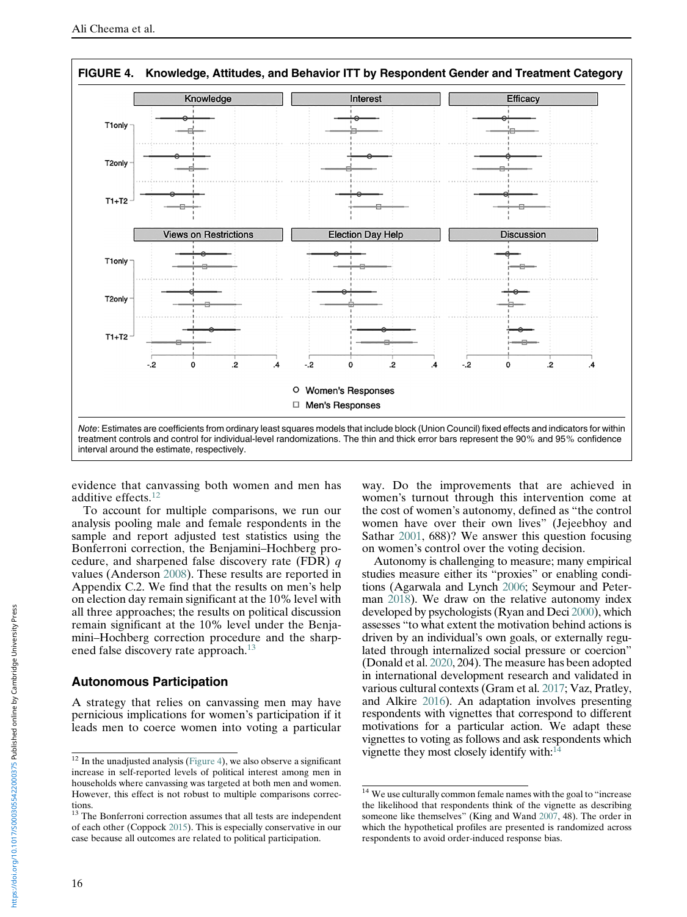<span id="page-15-0"></span>

evidence that canvassing both women and men has additive effects.[12](#page-15-1)

To account for multiple comparisons, we run our analysis pooling male and female respondents in the sample and report adjusted test statistics using the Bonferroni correction, the Benjamini–Hochberg procedure, and sharpened false discovery rate (FDR) q values (Anderson [2008](#page-18-16)). These results are reported in Appendix C.2. We find that the results on men's help on election day remain significant at the 10% level with all three approaches; the results on political discussion remain significant at the 10% level under the Benjamini–Hochberg correction procedure and the sharp-ened false discovery rate approach.<sup>[13](#page-15-2)</sup>

# Autonomous Participation

A strategy that relies on canvassing men may have pernicious implications for women's participation if it leads men to coerce women into voting a particular way. Do the improvements that are achieved in women's turnout through this intervention come at the cost of women's autonomy, defined as "the control women have over their own lives" (Jejeebhoy and Sathar [2001,](#page-19-31) 688)? We answer this question focusing on women's control over the voting decision.

Autonomy is challenging to measure; many empirical studies measure either its "proxies" or enabling conditions (Agarwala and Lynch [2006;](#page-18-19) Seymour and Peterman [2018\)](#page-20-0). We draw on the relative autonomy index developed by psychologists (Ryan and Deci [2000\)](#page-20-1), which assesses "to what extent the motivation behind actions is driven by an individual's own goals, or externally regulated through internalized social pressure or coercion" (Donald et al. [2020](#page-18-29), 204). The measure has been adopted in international development research and validated in various cultural contexts (Gram et al. [2017](#page-19-32); Vaz, Pratley, and Alkire [2016\)](#page-20-3). An adaptation involves presenting respondents with vignettes that correspond to different motivations for a particular action. We adapt these vignettes to voting as follows and ask respondents which vignette they most closely identify with[:14](#page-15-3)

<span id="page-15-1"></span> $12$  In the unadjusted analysis ([Figure 4\)](#page-15-0), we also observe a significant increase in self-reported levels of political interest among men in households where canvassing was targeted at both men and women. However, this effect is not robust to multiple comparisons corrections.

<span id="page-15-3"></span><span id="page-15-2"></span><sup>&</sup>lt;sup>13</sup> The Bonferroni correction assumes that all tests are independent of each other (Coppock [2015](#page-18-7)). This is especially conservative in our case because all outcomes are related to political participation.

<sup>&</sup>lt;sup>14</sup> We use culturally common female names with the goal to "increase the likelihood that respondents think of the vignette as describing someone like themselves" (King and Wand [2007](#page-19-11), 48). The order in which the hypothetical profiles are presented is randomized across respondents to avoid order-induced response bias.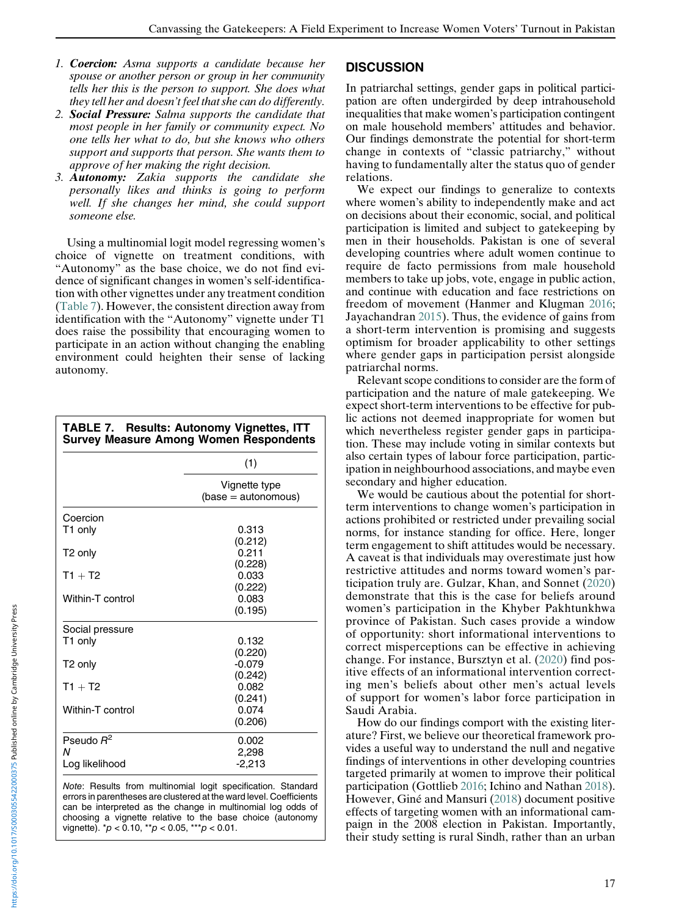- 1. Coercion: Asma supports a candidate because her spouse or another person or group in her community tells her this is the person to support. She does what they tell her and doesn't feel that she can do differently.
- 2. Social Pressure: Salma supports the candidate that most people in her family or community expect. No one tells her what to do, but she knows who others support and supports that person. She wants them to approve of her making the right decision.
- 3. Autonomy: Zakia supports the candidate she personally likes and thinks is going to perform well. If she changes her mind, she could support someone else.

Using a multinomial logit model regressing women's choice of vignette on treatment conditions, with "Autonomy" as the base choice, we do not find evidence of significant changes in women's self-identification with other vignettes under any treatment condition ([Table 7](#page-16-0)). However, the consistent direction away from identification with the "Autonomy" vignette under T1 does raise the possibility that encouraging women to participate in an action without changing the enabling environment could heighten their sense of lacking autonomy.

<span id="page-16-0"></span>

| TABLE 7. Results: Autonomy Vignettes, ITT<br><b>Survey Measure Among Women Respondents</b> |                                      |  |  |
|--------------------------------------------------------------------------------------------|--------------------------------------|--|--|
|                                                                                            | (1)                                  |  |  |
|                                                                                            | Vignette type<br>$(base = automous)$ |  |  |
| Coercion                                                                                   |                                      |  |  |
| T1 only                                                                                    | 0.313                                |  |  |
| T <sub>2</sub> only                                                                        | (0.212)<br>0.211<br>(0.228)          |  |  |
| $T1 + T2$                                                                                  | 0.033                                |  |  |
| Within-T control                                                                           | (0.222)<br>0.083<br>(0.195)          |  |  |
| Social pressure                                                                            |                                      |  |  |
| T1 only                                                                                    | 0.132<br>(0.220)                     |  |  |
| T <sub>2</sub> only                                                                        | $-0.079$                             |  |  |
| $T1 + T2$                                                                                  | (0.242)<br>0.082<br>(0.241)          |  |  |
| Within-T control                                                                           | 0.074<br>(0.206)                     |  |  |
| Pseudo $R^2$                                                                               | 0.002                                |  |  |
| N<br>Log likelihood                                                                        | 2,298<br>$-2,213$                    |  |  |

Note: Results from multinomial logit specification. Standard errors in parentheses are clustered at the ward level. Coefficients can be interpreted as the change in multinomial log odds of choosing a vignette relative to the base choice (autonomy vignette).  $p < 0.10$ ,  $p > 0.05$ ,  $p > 0.01$ .

# **DISCUSSION**

In patriarchal settings, gender gaps in political participation are often undergirded by deep intrahousehold inequalities that make women's participation contingent on male household members' attitudes and behavior. Our findings demonstrate the potential for short-term change in contexts of "classic patriarchy," without having to fundamentally alter the status quo of gender relations.

We expect our findings to generalize to contexts where women's ability to independently make and act on decisions about their economic, social, and political participation is limited and subject to gatekeeping by men in their households. Pakistan is one of several developing countries where adult women continue to require de facto permissions from male household members to take up jobs, vote, engage in public action, and continue with education and face restrictions on freedom of movement (Hanmer and Klugman [2016;](#page-19-21) Jayachandran [2015](#page-19-9)). Thus, the evidence of gains from a short-term intervention is promising and suggests optimism for broader applicability to other settings where gender gaps in participation persist alongside patriarchal norms.

Relevant scope conditions to consider are the form of participation and the nature of male gatekeeping. We expect short-term interventions to be effective for public actions not deemed inappropriate for women but which nevertheless register gender gaps in participation. These may include voting in similar contexts but also certain types of labour force participation, participation in neighbourhood associations, and maybe even secondary and higher education.

We would be cautious about the potential for shortterm interventions to change women's participation in actions prohibited or restricted under prevailing social norms, for instance standing for office. Here, longer term engagement to shift attitudes would be necessary. A caveat is that individuals may overestimate just how restrictive attitudes and norms toward women's participation truly are. Gulzar, Khan, and Sonnet ([2020](#page-19-33)) demonstrate that this is the case for beliefs around women's participation in the Khyber Pakhtunkhwa province of Pakistan. Such cases provide a window of opportunity: short informational interventions to correct misperceptions can be effective in achieving change. For instance, Bursztyn et al. [\(2020\)](#page-18-30) find positive effects of an informational intervention correcting men's beliefs about other men's actual levels of support for women's labor force participation in Saudi Arabia.

How do our findings comport with the existing literature? First, we believe our theoretical framework provides a useful way to understand the null and negative findings of interventions in other developing countries targeted primarily at women to improve their political participation (Gottlieb [2016](#page-19-2); Ichino and Nathan [2018\)](#page-19-8). However, Giné and Mansuri [\(2018](#page-19-7)) document positive effects of targeting women with an informational campaign in the 2008 election in Pakistan. Importantly, their study setting is rural Sindh, rather than an urban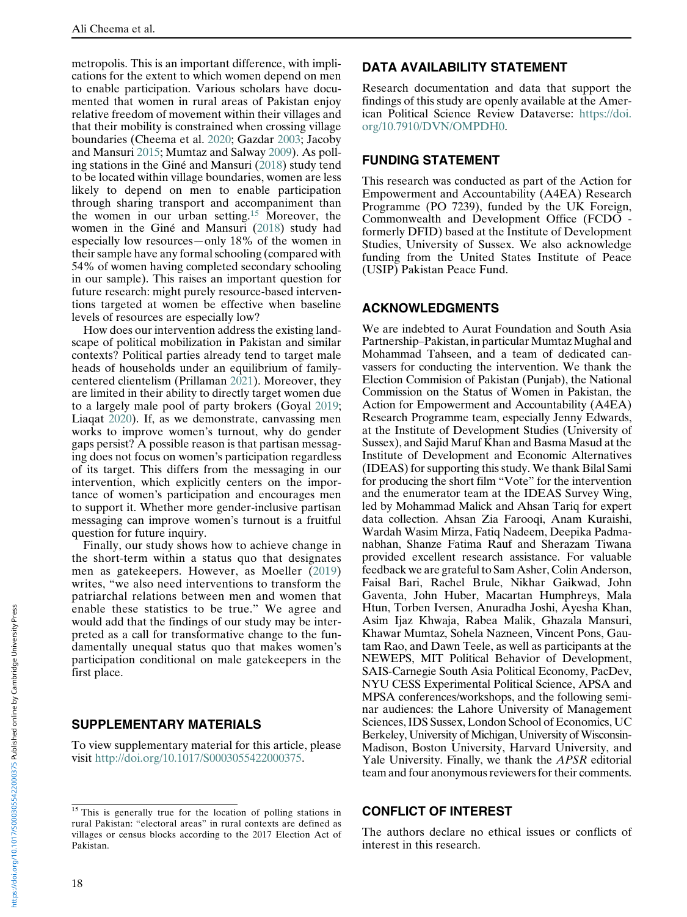metropolis. This is an important difference, with implications for the extent to which women depend on men to enable participation. Various scholars have documented that women in rural areas of Pakistan enjoy relative freedom of movement within their villages and that their mobility is constrained when crossing village boundaries (Cheema et al. [2020;](#page-18-31) Gazdar [2003;](#page-18-32) Jacoby and Mansuri [2015](#page-19-34); Mumtaz and Salway [2009](#page-19-8)). As polling stations in the Giné and Mansuri [\(2018](#page-19-7)) study tend to be located within village boundaries, women are less likely to depend on men to enable participation through sharing transport and accompaniment than the women in our urban setting.[15](#page-17-0) Moreover, the women in the Giné and Mansuri [\(2018](#page-19-7)) study had especially low resources—only 18% of the women in their sample have any formal schooling (compared with 54% of women having completed secondary schooling in our sample). This raises an important question for future research: might purely resource-based interventions targeted at women be effective when baseline levels of resources are especially low?

How does our intervention address the existing landscape of political mobilization in Pakistan and similar contexts? Political parties already tend to target male heads of households under an equilibrium of familycentered clientelism (Prillaman [2021](#page-19-1)). Moreover, they are limited in their ability to directly target women due to a largely male pool of party brokers (Goyal [2019;](#page-19-20) Liaqat [2020\)](#page-19-35). If, as we demonstrate, canvassing men works to improve women's turnout, why do gender gaps persist? A possible reason is that partisan messaging does not focus on women's participation regardless of its target. This differs from the messaging in our intervention, which explicitly centers on the importance of women's participation and encourages men to support it. Whether more gender-inclusive partisan messaging can improve women's turnout is a fruitful question for future inquiry.

Finally, our study shows how to achieve change in the short-term within a status quo that designates men as gatekeepers. However, as Moeller ([2019](#page-19-36)) writes, "we also need interventions to transform the patriarchal relations between men and women that enable these statistics to be true." We agree and would add that the findings of our study may be interpreted as a call for transformative change to the fundamentally unequal status quo that makes women's participation conditional on male gatekeepers in the first place.

# SUPPLEMENTARY MATERIALS

To view supplementary material for this article, please visit [http://doi.org/10.1017/S0003055422000375.](http://doi.org/10.1017/S0003055422000375)

#### <span id="page-17-0"></span><sup>15</sup> This is generally true for the location of polling stations in rural Pakistan: "electoral areas" in rural contexts are defined as villages or census blocks according to the 2017 Election Act of Pakistan.

# DATA AVAILABILITY STATEMENT

Research documentation and data that support the findings of this study are openly available at the American Political Science Review Dataverse: [https://doi.](https://doi.org/10.7910/DVN/OMPDH0) [org/10.7910/DVN/OMPDH0](https://doi.org/10.7910/DVN/OMPDH0).

## FUNDING STATEMENT

This research was conducted as part of the Action for Empowerment and Accountability (A4EA) Research Programme (PO 7239), funded by the UK Foreign, Commonwealth and Development Office (FCDO formerly DFID) based at the Institute of Development Studies, University of Sussex. We also acknowledge funding from the United States Institute of Peace (USIP) Pakistan Peace Fund.

## ACKNOWLEDGMENTS

We are indebted to Aurat Foundation and South Asia Partnership–Pakistan, in particular Mumtaz Mughal and Mohammad Tahseen, and a team of dedicated canvassers for conducting the intervention. We thank the Election Commision of Pakistan (Punjab), the National Commission on the Status of Women in Pakistan, the Action for Empowerment and Accountability (A4EA) Research Programme team, especially Jenny Edwards, at the Institute of Development Studies (University of Sussex), and Sajid Maruf Khan and Basma Masud at the Institute of Development and Economic Alternatives (IDEAS) for supporting this study. We thank Bilal Sami for producing the short film "Vote" for the intervention and the enumerator team at the IDEAS Survey Wing, led by Mohammad Malick and Ahsan Tariq for expert data collection. Ahsan Zia Farooqi, Anam Kuraishi, Wardah Wasim Mirza, Fatiq Nadeem, Deepika Padmanabhan, Shanze Fatima Rauf and Sherazam Tiwana provided excellent research assistance. For valuable feedback we are grateful to Sam Asher, Colin Anderson, Faisal Bari, Rachel Brule, Nikhar Gaikwad, John Gaventa, John Huber, Macartan Humphreys, Mala Htun, Torben Iversen, Anuradha Joshi, Ayesha Khan, Asim Ijaz Khwaja, Rabea Malik, Ghazala Mansuri, Khawar Mumtaz, Sohela Nazneen, Vincent Pons, Gautam Rao, and Dawn Teele, as well as participants at the NEWEPS, MIT Political Behavior of Development, SAIS-Carnegie South Asia Political Economy, PacDev, NYU CESS Experimental Political Science, APSA and MPSA conferences/workshops, and the following seminar audiences: the Lahore University of Management Sciences, IDS Sussex, London School of Economics, UC Berkeley, University of Michigan, University of Wisconsin-Madison, Boston University, Harvard University, and Yale University. Finally, we thank the APSR editorial team and four anonymous reviewers for their comments.

### CONFLICT OF INTEREST

The authors declare no ethical issues or conflicts of interest in this research.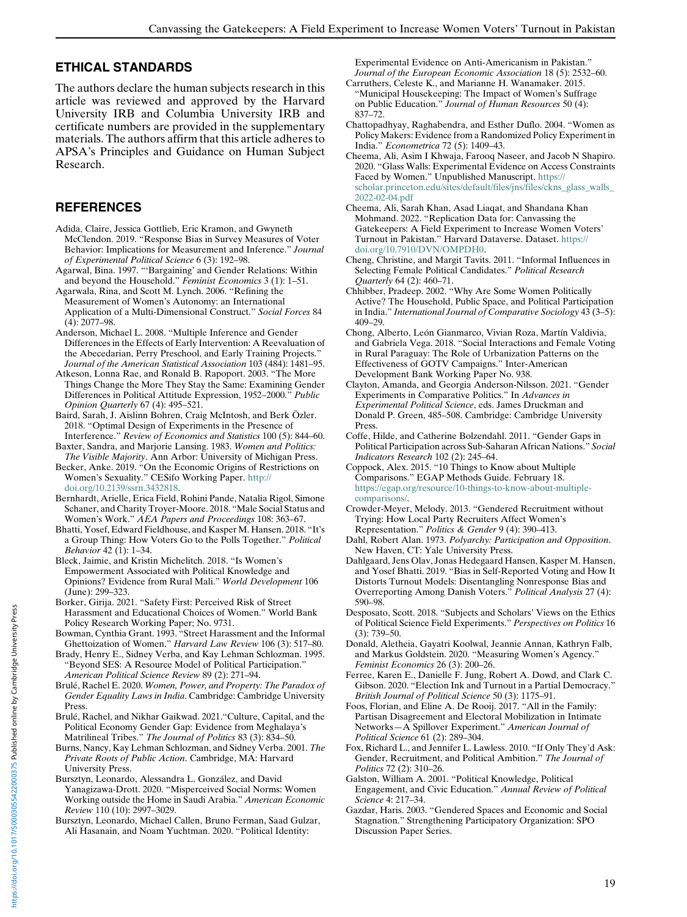## ETHICAL STANDARDS

<span id="page-18-3"></span><span id="page-18-2"></span>The authors declare the human subjects research in this article was reviewed and approved by the Harvard University IRB and Columbia University IRB and certificate numbers are provided in the supplementary materials. The authors affirm that this article adheres to APSA's Principles and Guidance on Human Subject Research.

# <span id="page-18-31"></span><span id="page-18-26"></span>**REFERENCES**

- <span id="page-18-27"></span>Adida, Claire, Jessica Gottlieb, Eric Kramon, and Gwyneth McClendon. 2019. "Response Bias in Survey Measures of Voter Behavior: Implications for Measurement and Inference." Journal of Experimental Political Science 6 (3): 192–98.
- <span id="page-18-22"></span><span id="page-18-10"></span>Agarwal, Bina. 1997. "'Bargaining' and Gender Relations: Within and beyond the Household." Feminist Economics 3 (1): 1–51.
- <span id="page-18-19"></span>Agarwala, Rina, and Scott M. Lynch. 2006. "Refining the Measurement of Women's Autonomy: an International Application of a Multi-Dimensional Construct." Social Forces 84 (4): 2077–98.
- <span id="page-18-16"></span>Anderson, Michael L. 2008. "Multiple Inference and Gender Differences in the Effects of Early Intervention: A Reevaluation of the Abecedarian, Perry Preschool, and Early Training Projects." Journal of the American Statistical Association 103 (484): 1481–95.
- <span id="page-18-23"></span><span id="page-18-15"></span>Atkeson, Lonna Rae, and Ronald B. Rapoport. 2003. "The More Things Change the More They Stay the Same: Examining Gender Differences in Political Attitude Expression, 1952–2000." Public Opinion Quarterly 67 (4): 495–521.
- <span id="page-18-25"></span>Baird, Sarah, J. Aislinn Bohren, Craig McIntosh, and Berk Özler. 2018. "Optimal Design of Experiments in the Presence of Interference." Review of Economics and Statistics 100 (5): 844–60.
- <span id="page-18-4"></span><span id="page-18-0"></span>Baxter, Sandra, and Marjorie Lansing. 1983. Women and Politics: The Visible Majority. Ann Arbor: University of Michigan Press.
- <span id="page-18-7"></span>Becker, Anke. 2019. "On the Economic Origins of Restrictions on Women's Sexuality." CESifo Working Paper. [http://](http://doi.org/10.2139/ssrn.3432818) [doi.org/10.2139/ssrn.3432818.](http://doi.org/10.2139/ssrn.3432818)
- <span id="page-18-14"></span><span id="page-18-11"></span>Bernhardt, Arielle, Erica Field, Rohini Pande, Natalia Rigol, Simone Schaner, and Charity Troyer-Moore. 2018. "Male Social Status and Women's Work." AEA Papers and Proceedings 108: 363–67.
- <span id="page-18-12"></span><span id="page-18-1"></span>Bhatti, Yosef, Edward Fieldhouse, and Kasper M. Hansen. 2018. "It's a Group Thing: How Voters Go to the Polls Together." Political Behavior 42 (1): 1–34.
- <span id="page-18-17"></span>Bleck, Jaimie, and Kristin Michelitch. 2018. "Is Women's Empowerment Associated with Political Knowledge and Opinions? Evidence from Rural Mali." World Development 106 (June): 299–323.
- <span id="page-18-24"></span><span id="page-18-20"></span>Borker, Girija. 2021. "Safety First: Perceived Risk of Street Harassment and Educational Choices of Women." World Bank Policy Research Working Paper; No. 9731.
- <span id="page-18-29"></span><span id="page-18-21"></span>Bowman, Cynthia Grant. 1993. "Street Harassment and the Informal Ghettoization of Women." Harvard Law Review 106 (3): 517–80.
- <span id="page-18-5"></span>Brady, Henry E., Sidney Verba, and Kay Lehman Schlozman. 1995. "Beyond SES: A Resource Model of Political Participation." American Political Science Review 89 (2): 271–94.
- <span id="page-18-28"></span><span id="page-18-9"></span>Brulé, Rachel E. 2020. Women, Power, and Property: The Paradox of Gender Equality Laws in India. Cambridge: Cambridge University Press.
- <span id="page-18-18"></span><span id="page-18-13"></span>Brulé, Rachel, and Nikhar Gaikwad. 2021."Culture, Capital, and the Political Economy Gender Gap: Evidence from Meghalaya's Matrilineal Tribes." The Journal of Politics 83 (3): 834–50.
- <span id="page-18-8"></span>Burns, Nancy, Kay Lehman Schlozman, and Sidney Verba. 2001. The Private Roots of Public Action. Cambridge, MA: Harvard University Press.
- <span id="page-18-6"></span>Bursztyn, Leonardo, Alessandra L. González, and David Yanagizawa-Drott. 2020. "Misperceived Social Norms: Women Working outside the Home in Saudi Arabia." American Economic Review 110 (10): 2997–3029.
- <span id="page-18-32"></span><span id="page-18-30"></span>Bursztyn, Leonardo, Michael Callen, Bruno Ferman, Saad Gulzar, Ali Hasanain, and Noam Yuchtman. 2020. "Political Identity:

Experimental Evidence on Anti-Americanism in Pakistan." Journal of the European Economic Association 18 (5): 2532–60.

- Carruthers, Celeste K., and Marianne H. Wanamaker. 2015. "Municipal Housekeeping: The Impact of Women's Suffrage on Public Education." Journal of Human Resources 50 (4): 837–72.
- Chattopadhyay, Raghabendra, and Esther Duflo. 2004. "Women as Policy Makers: Evidence from a Randomized Policy Experiment in India." Econometrica 72 (5): 1409–43.
- Cheema, Ali, Asim I Khwaja, Farooq Naseer, and Jacob N Shapiro. 2020. "Glass Walls: Experimental Evidence on Access Constraints Faced by Women." Unpublished Manuscript. [https://](https://scholar.princeton.edu/sites/default/files/jns/files/ckns_glass_walls_2022-02-04.pdf) [scholar.princeton.edu/sites/default/files/jns/files/ckns\\_glass\\_walls\\_](https://scholar.princeton.edu/sites/default/files/jns/files/ckns_glass_walls_2022-02-04.pdf) [2022-02-04.pdf](https://scholar.princeton.edu/sites/default/files/jns/files/ckns_glass_walls_2022-02-04.pdf)
- Cheema, Ali, Sarah Khan, Asad Liaqat, and Shandana Khan Mohmand. 2022. "Replication Data for: Canvassing the Gatekeepers: A Field Experiment to Increase Women Voters' Turnout in Pakistan." Harvard Dataverse. Dataset. [https://](https://doi.org/10.7910/DVN/OMPDH0) [doi.org/10.7910/DVN/OMPDH0](https://doi.org/10.7910/DVN/OMPDH0).
- Cheng, Christine, and Margit Tavits. 2011. "Informal Influences in Selecting Female Political Candidates." Political Research Quarterly 64 (2): 460–71.
- Chhibber, Pradeep. 2002. "Why Are Some Women Politically Active? The Household, Public Space, and Political Participation in India." International Journal of Comparative Sociology 43 (3–5): 409–29.
- Chong, Alberto, León Gianmarco, Vivian Roza, Martín Valdivia, and Gabriela Vega. 2018. "Social Interactions and Female Voting in Rural Paraguay: The Role of Urbanization Patterns on the Effectiveness of GOTV Campaigns." Inter-American Development Bank Working Paper No. 938.
- Clayton, Amanda, and Georgia Anderson-Nilsson. 2021. "Gender Experiments in Comparative Politics." In Advances in Experimental Political Science, eds. James Druckman and Donald P. Green, 485–508. Cambridge: Cambridge University Press.
- Coffe, Hilde, and Catherine Bolzendahl. 2011. "Gender Gaps in Political Participation across Sub-Saharan African Nations." Social Indicators Research 102 (2): 245–64.
- Coppock, Alex. 2015. "10 Things to Know about Multiple Comparisons." EGAP Methods Guide. February 18. [https://egap.org/resource/10-things-to-know-about-multiple](https://egap.org/resource/10-things-to-know-about-multiple-comparisons/)[comparisons/](https://egap.org/resource/10-things-to-know-about-multiple-comparisons/).
- Crowder-Meyer, Melody. 2013. "Gendered Recruitment without Trying: How Local Party Recruiters Affect Women's Representation." Politics & Gender 9 (4): 390–413.
- Dahl, Robert Alan. 1973. Polyarchy: Participation and Opposition. New Haven, CT: Yale University Press.
- Dahlgaard, Jens Olav, Jonas Hedegaard Hansen, Kasper M. Hansen, and Yosef Bhatti. 2019. "Bias in Self-Reported Voting and How It Distorts Turnout Models: Disentangling Nonresponse Bias and Overreporting Among Danish Voters." Political Analysis 27 (4): 590–98.
- Desposato, Scott. 2018. "Subjects and Scholars' Views on the Ethics of Political Science Field Experiments." Perspectives on Politics 16 (3): 739–50.
- Donald, Aletheia, Gayatri Koolwal, Jeannie Annan, Kathryn Falb, and Markus Goldstein. 2020. "Measuring Women's Agency." Feminist Economics 26 (3): 200–26.
- Ferree, Karen E., Danielle F. Jung, Robert A. Dowd, and Clark C. Gibson. 2020. "Election Ink and Turnout in a Partial Democracy." British Journal of Political Science 50 (3): 1175–91.
- Foos, Florian, and Eline A. De Rooij. 2017. "All in the Family: Partisan Disagreement and Electoral Mobilization in Intimate Networks—A Spillover Experiment." American Journal of Political Science 61 (2): 289–304.
- Fox, Richard L., and Jennifer L. Lawless. 2010. "If Only They'd Ask: Gender, Recruitment, and Political Ambition." The Journal of Politics 72 (2): 310–26.
- Galston, William A. 2001. "Political Knowledge, Political Engagement, and Civic Education." Annual Review of Political Science 4: 217–34.
- Gazdar, Haris. 2003. "Gendered Spaces and Economic and Social Stagnation." Strengthening Participatory Organization: SPO Discussion Paper Series.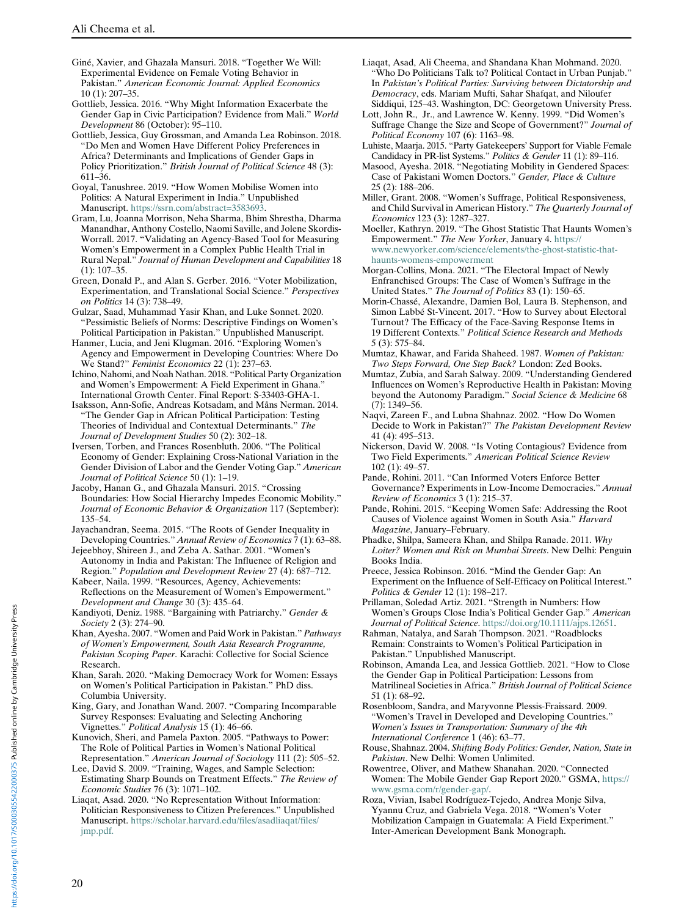- <span id="page-19-7"></span>Giné, Xavier, and Ghazala Mansuri. 2018. "Together We Will: Experimental Evidence on Female Voting Behavior in Pakistan." American Economic Journal: Applied Economics 10 (1): 207–35.
- <span id="page-19-4"></span><span id="page-19-2"></span>Gottlieb, Jessica. 2016. "Why Might Information Exacerbate the Gender Gap in Civic Participation? Evidence from Mali." World Development 86 (October): 95–110.
- <span id="page-19-14"></span>Gottlieb, Jessica, Guy Grossman, and Amanda Lea Robinson. 2018. "Do Men and Women Have Different Policy Preferences in Africa? Determinants and Implications of Gender Gaps in Policy Prioritization." British Journal of Political Science 48 (3): 611–36.
- <span id="page-19-29"></span><span id="page-19-20"></span><span id="page-19-5"></span>Goyal, Tanushree. 2019. "How Women Mobilise Women into Politics: A Natural Experiment in India." Unpublished Manuscript. <https://ssrn.com/abstract=3583693>.
- <span id="page-19-36"></span><span id="page-19-32"></span>Gram, Lu, Joanna Morrison, Neha Sharma, Bhim Shrestha, Dharma Manandhar, Anthony Costello, Naomi Saville, and Jolene Skordis-Worrall. 2017. "Validating an Agency-Based Tool for Measuring Women's Empowerment in a Complex Public Health Trial in Rural Nepal." Journal of Human Development and Capabilities 18 (1): 107–35.
- <span id="page-19-15"></span><span id="page-19-6"></span>Green, Donald P., and Alan S. Gerber. 2016. "Voter Mobilization, Experimentation, and Translational Social Science." Perspectives on Politics 14 (3): 738–49.
- <span id="page-19-33"></span><span id="page-19-30"></span>Gulzar, Saad, Muhammad Yasir Khan, and Luke Sonnet. 2020. "Pessimistic Beliefs of Norms: Descriptive Findings on Women's Political Participation in Pakistan." Unpublished Manuscript.
- <span id="page-19-26"></span><span id="page-19-21"></span>Hanmer, Lucia, and Jeni Klugman. 2016. "Exploring Women's Agency and Empowerment in Developing Countries: Where Do We Stand?" Feminist Economics 22 (1): 237-63.
- <span id="page-19-8"></span>Ichino, Nahomi, and Noah Nathan. 2018. "Political Party Organization and Women's Empowerment: A Field Experiment in Ghana.' International Growth Center. Final Report: S-33403-GHA-1.
- <span id="page-19-27"></span><span id="page-19-0"></span>Isaksson, Ann-Sofie, Andreas Kotsadam, and Måns Nerman. 2014. "The Gender Gap in African Political Participation: Testing Theories of Individual and Contextual Determinants." The Journal of Development Studies 50 (2): 302–18.
- <span id="page-19-16"></span>Iversen, Torben, and Frances Rosenbluth. 2006. "The Political Economy of Gender: Explaining Cross-National Variation in the Gender Division of Labor and the Gender Voting Gap." American Journal of Political Science 50 (1): 1–19.
- <span id="page-19-34"></span><span id="page-19-17"></span><span id="page-19-10"></span>Jacoby, Hanan G., and Ghazala Mansuri. 2015. "Crossing Boundaries: How Social Hierarchy Impedes Economic Mobility." Journal of Economic Behavior & Organization 117 (September): 135–54.
- <span id="page-19-22"></span><span id="page-19-9"></span>Jayachandran, Seema. 2015. "The Roots of Gender Inequality in Developing Countries." Annual Review of Economics 7 (1): 63–88.
- <span id="page-19-31"></span>Jejeebhoy, Shireen J., and Zeba A. Sathar. 2001. "Women's Autonomy in India and Pakistan: The Influence of Religion and Region." Population and Development Review 27 (4): 687–712.
- <span id="page-19-24"></span><span id="page-19-19"></span>Kabeer, Naila. 1999. "Resources, Agency, Achievements: Reflections on the Measurement of Women's Empowerment." Development and Change 30 (3): 435–64.
- <span id="page-19-25"></span><span id="page-19-1"></span>Kandiyoti, Deniz. 1988. "Bargaining with Patriarchy." Gender & Society 2 (3): 274–90.
- <span id="page-19-23"></span>Khan, Ayesha. 2007. "Women and Paid Work in Pakistan." Pathways of Women's Empowerment, South Asia Research Programme, Pakistan Scoping Paper. Karachi: Collective for Social Science Research.
- <span id="page-19-18"></span><span id="page-19-3"></span>Khan, Sarah. 2020. "Making Democracy Work for Women: Essays on Women's Political Participation in Pakistan." PhD diss. Columbia University.
- <span id="page-19-11"></span>King, Gary, and Jonathan Wand. 2007. "Comparing Incomparable Survey Responses: Evaluating and Selecting Anchoring Vignettes." Political Analysis 15 (1): 46-66.
- <span id="page-19-28"></span><span id="page-19-13"></span>Kunovich, Sheri, and Pamela Paxton. 2005. "Pathways to Power: The Role of Political Parties in Women's National Political Representation." American Journal of Sociology 111 (2): 505-52.
- <span id="page-19-12"></span>Lee, David S. 2009. "Training, Wages, and Sample Selection: Estimating Sharp Bounds on Treatment Effects." The Review of Economic Studies 76 (3): 1071–102.
- <span id="page-19-35"></span>Liaqat, Asad. 2020. "No Representation Without Information: Politician Responsiveness to Citizen Preferences." Unpublished Manuscript. [https://scholar.harvard.edu/files/asadliaqat/files/](https://scholar.harvard.edu/files/asadliaqat/files/jmp.pdf.) [jmp.pdf.](https://scholar.harvard.edu/files/asadliaqat/files/jmp.pdf.)
- Liaqat, Asad, Ali Cheema, and Shandana Khan Mohmand. 2020. Who Do Politicians Talk to? Political Contact in Urban Punjab." In Pakistan's Political Parties: Surviving between Dictatorship and Democracy, eds. Mariam Mufti, Sahar Shafqat, and Niloufer Siddiqui, 125–43. Washington, DC: Georgetown University Press.
- Lott, John R., Jr., and Lawrence W. Kenny. 1999. "Did Women's Suffrage Change the Size and Scope of Government?" Journal of Political Economy 107 (6): 1163–98.
- Luhiste, Maarja. 2015. "Party Gatekeepers' Support for Viable Female Candidacy in PR-list Systems." Politics & Gender 11 (1): 89–116.
- Masood, Ayesha. 2018. "Negotiating Mobility in Gendered Spaces: Case of Pakistani Women Doctors." Gender, Place & Culture 25 (2): 188–206.
- Miller, Grant. 2008. "Women's Suffrage, Political Responsiveness, and Child Survival in American History." The Quarterly Journal of Economics 123 (3): 1287–327.
- Moeller, Kathryn. 2019. "The Ghost Statistic That Haunts Women's Empowerment." The New Yorker, January 4. [https://](https://www.newyorker.com/science/elements/the-ghost-statistic-that-haunts-womens-empowerment) [www.newyorker.com/science/elements/the-ghost-statistic-that](https://www.newyorker.com/science/elements/the-ghost-statistic-that-haunts-womens-empowerment)[haunts-womens-empowerment](https://www.newyorker.com/science/elements/the-ghost-statistic-that-haunts-womens-empowerment)
- Morgan-Collins, Mona. 2021. "The Electoral Impact of Newly Enfranchised Groups: The Case of Women's Suffrage in the United States." The Journal of Politics 83 (1): 150–65.
- Morin-Chassé, Alexandre, Damien Bol, Laura B. Stephenson, and Simon Labbé St-Vincent. 2017. "How to Survey about Electoral Turnout? The Efficacy of the Face-Saving Response Items in 19 Different Contexts." Political Science Research and Methods 5 (3): 575–84.
- Mumtaz, Khawar, and Farida Shaheed. 1987. Women of Pakistan: Two Steps Forward, One Step Back? London: Zed Books.
- Mumtaz, Zubia, and Sarah Salway. 2009. "Understanding Gendered Influences on Women's Reproductive Health in Pakistan: Moving beyond the Autonomy Paradigm." Social Science & Medicine 68 (7): 1349–56.
- Naqvi, Zareen F., and Lubna Shahnaz. 2002. "How Do Women Decide to Work in Pakistan?" The Pakistan Development Review 41 (4): 495–513.
- Nickerson, David W. 2008. "Is Voting Contagious? Evidence from Two Field Experiments." American Political Science Review 102 (1): 49–57.
- Pande, Rohini. 2011. "Can Informed Voters Enforce Better Governance? Experiments in Low-Income Democracies." Annual Review of Economics 3 (1): 215–37.
- Pande, Rohini. 2015. "Keeping Women Safe: Addressing the Root Causes of Violence against Women in South Asia." Harvard Magazine, January–February.
- Phadke, Shilpa, Sameera Khan, and Shilpa Ranade. 2011. Why Loiter? Women and Risk on Mumbai Streets. New Delhi: Penguin Books India.
- Preece, Jessica Robinson. 2016. "Mind the Gender Gap: An Experiment on the Influence of Self-Efficacy on Political Interest." Politics & Gender 12 (1): 198–217.
- Prillaman, Soledad Artiz. 2021. "Strength in Numbers: How Women's Groups Close India's Political Gender Gap." American Journal of Political Science. [https://doi.org/10.1111/ajps.12651.](https://doi.org/10.1111/ajps.12651)
- Rahman, Natalya, and Sarah Thompson. 2021. "Roadblocks Remain: Constraints to Women's Political Participation in Pakistan." Unpublished Manuscript.
- Robinson, Amanda Lea, and Jessica Gottlieb. 2021. "How to Close the Gender Gap in Political Participation: Lessons from Matrilineal Societies in Africa." British Journal of Political Science 51 (1): 68–92.
- Rosenbloom, Sandra, and Maryvonne Plessis-Fraissard. 2009. "Women's Travel in Developed and Developing Countries." Women's Issues in Transportation: Summary of the 4th International Conference 1 (46): 63–77.
- Rouse, Shahnaz. 2004. Shifting Body Politics: Gender, Nation, State in Pakistan. New Delhi: Women Unlimited.
- Rowentree, Oliver, and Mathew Shanahan. 2020. "Connected Women: The Mobile Gender Gap Report 2020." GSMA, [https://](https://www.gsma.com/r/gender-gap/) [www.gsma.com/r/gender-gap/.](https://www.gsma.com/r/gender-gap/)
- Roza, Vivian, Isabel Rodríguez-Tejedo, Andrea Monje Silva, Yyannu Cruz, and Gabriela Vega. 2018. "Women's Voter Mobilization Campaign in Guatemala: A Field Experiment." Inter-American Development Bank Monograph.